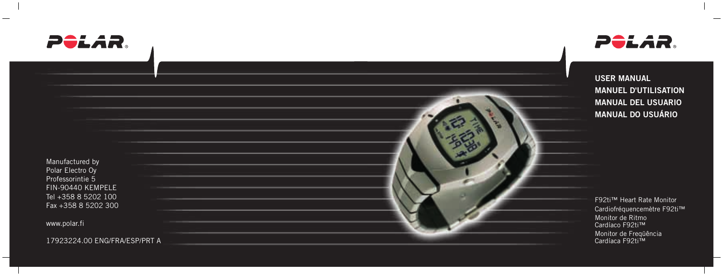



**USER MANUAL MANUEL D'UTILISATION MANUAL DEL USUARIO MANUAL DO USUÁRIO**

Manufactured by Polar Electro Oy Professorintie 5 FIN-90440 KEMPELE Tel +358 8 5202 100 Fax +358 8 5202 300

www.polar.fi

17923224.00 ENG/FRA/ESP/PRT A

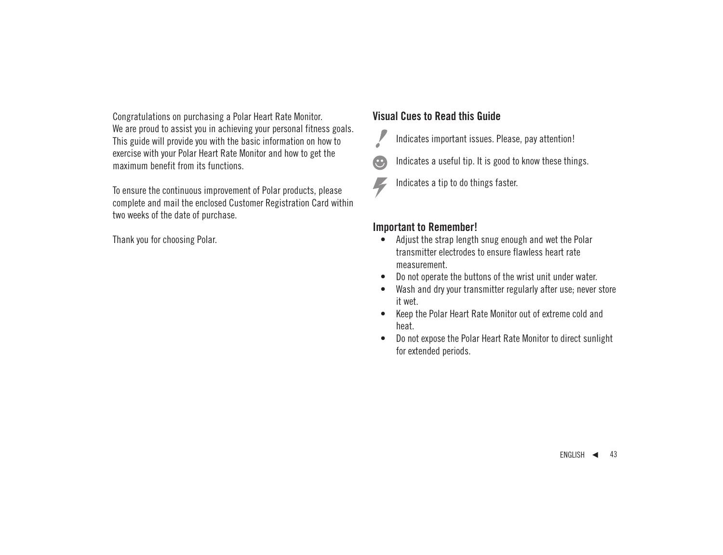Congratulations on purchasing a Polar Heart Rate Monitor. We are proud to assist you in achieving your personal fitness goals. This guide will provide you with the basic information on how to exercise with your Polar Heart Rate Monitor and how to get the maximum benefit from its functions.

To ensure the continuous improvement of Polar products, please complete and mail the enclosed Customer Registration Card within two weeks of the date of purchase.

Thank you for choosing Polar.

# **Visual Cues to Read this Guide**

Indicates important issues. Please, pay attention!

- Indicates a useful tip. It is good to know these things.
- Indicates a tip to do things faster.

### **Important to Remember!**

- Adjust the strap length snug enough and wet the Polar transmitter electrodes to ensure flawless heart rate measurement.
- Do not operate the buttons of the wrist unit under water.
- Wash and dry your transmitter regularly after use: never store it wet.
- Keep the Polar Heart Rate Monitor out of extreme cold and heat.
- Do not expose the Polar Heart Rate Monitor to direct sunlight for extended periods.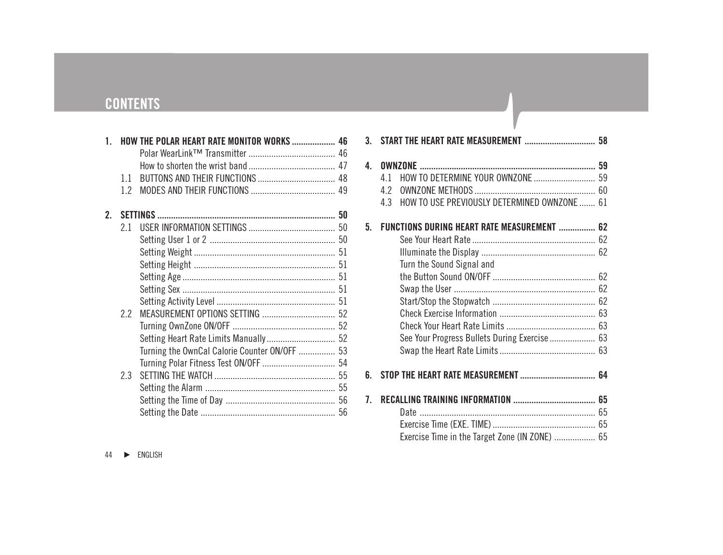# **CONTENTS**

| 1           |     | <b>HOW THE POLAR HEART RATE MONITOR WORKS  46</b> |  |
|-------------|-----|---------------------------------------------------|--|
|             |     |                                                   |  |
|             |     |                                                   |  |
|             | 1.1 |                                                   |  |
|             | 12  |                                                   |  |
| $2^{\circ}$ |     |                                                   |  |
|             | 21  |                                                   |  |
|             |     |                                                   |  |
|             |     |                                                   |  |
|             |     |                                                   |  |
|             |     |                                                   |  |
|             |     |                                                   |  |
|             |     |                                                   |  |
|             | 2.2 |                                                   |  |
|             |     |                                                   |  |
|             |     |                                                   |  |
|             |     | Turning the OwnCal Calorie Counter ON/OFF  53     |  |
|             |     |                                                   |  |
|             | 2.3 |                                                   |  |
|             |     |                                                   |  |
|             |     |                                                   |  |
|             |     |                                                   |  |
|             |     |                                                   |  |

|    | 3. START THE HEART RATE MEASUREMENT  58             |  |
|----|-----------------------------------------------------|--|
| 4. |                                                     |  |
|    | HOW TO DETERMINE YOUR OWNZONE  59<br>41             |  |
|    | 42                                                  |  |
|    | HOW TO USE PREVIOUSLY DETERMINED OWNZONE  61<br>4.3 |  |
| 5. | FUNCTIONS DURING HEART RATE MEASUREMENT  62         |  |
|    |                                                     |  |
|    |                                                     |  |
|    | Turn the Sound Signal and                           |  |
|    |                                                     |  |
|    |                                                     |  |
|    |                                                     |  |
|    |                                                     |  |
|    |                                                     |  |
|    | See Your Progress Bullets During Exercise 63        |  |
|    |                                                     |  |
|    |                                                     |  |
| 6. |                                                     |  |
| 7. |                                                     |  |
|    |                                                     |  |
|    |                                                     |  |
|    | Exercise Time in the Target Zone (IN ZONE)  65      |  |
|    |                                                     |  |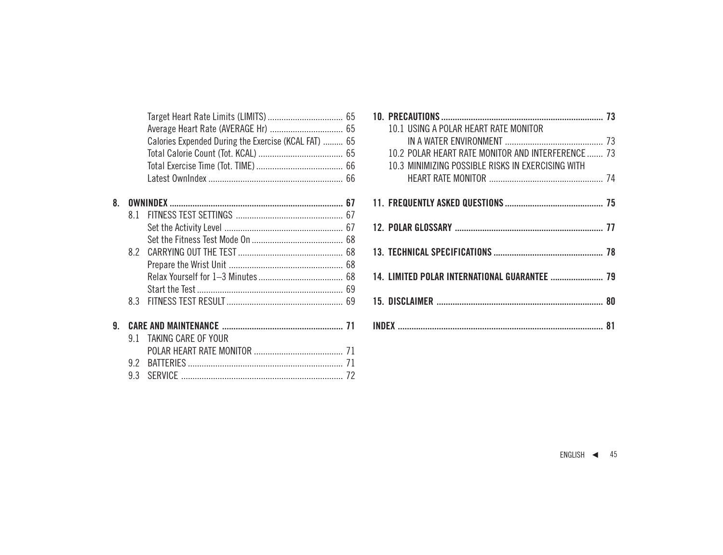|    |     | Calories Expended During the Exercise (KCAL FAT)  65 |  |
|----|-----|------------------------------------------------------|--|
|    |     |                                                      |  |
|    |     |                                                      |  |
|    |     |                                                      |  |
| 8. |     |                                                      |  |
|    | 81  |                                                      |  |
|    |     |                                                      |  |
|    |     |                                                      |  |
|    |     |                                                      |  |
|    |     |                                                      |  |
|    |     |                                                      |  |
|    |     |                                                      |  |
|    | 83  |                                                      |  |
| 9. |     |                                                      |  |
|    | 9 1 | TAKING CARE OF YOUR                                  |  |
|    |     |                                                      |  |
|    | 92  |                                                      |  |
|    | 9.3 |                                                      |  |
|    |     |                                                      |  |

| 10.1 USING A POLAR HEART RATE MONITOR                                                                  |  |
|--------------------------------------------------------------------------------------------------------|--|
|                                                                                                        |  |
| 10.2 POLAR HEART RATE MONITOR AND INTERFERENCE 73<br>10.3 MINIMIZING POSSIBLE RISKS IN EXERCISING WITH |  |
|                                                                                                        |  |
|                                                                                                        |  |
|                                                                                                        |  |
|                                                                                                        |  |
| 14. LIMITED POLAR INTERNATIONAL GUARANTEE  79                                                          |  |
|                                                                                                        |  |
|                                                                                                        |  |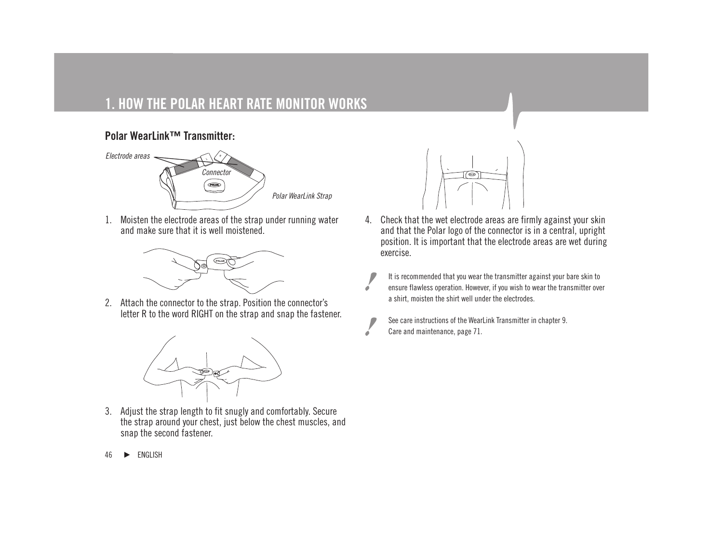# **1. HOW THE POLAR HEART RATE MONITOR WORKS**

# **Polar WearLink™ Transmitter:**



1. Moisten the electrode areas of the strap under running water and make sure that it is well moistened.



2. Attach the connector to the strap. Position the connector's letter R to the word RIGHT on the strap and snap the fastener.



3. Adjust the strap length to fit snugly and comfortably. Secure the strap around your chest, just below the chest muscles, and snap the second fastener.



- 4. Check that the wet electrode areas are firmly against your skin and that the Polar logo of the connector is in a central, upright position. It is important that the electrode areas are wet during exercise.
	- It is recommended that you wear the transmitter against your bare skin to ensure flawless operation. However, if you wish to wear the transmitter over a shirt, moisten the shirt well under the electrodes.
	- See care instructions of the WearLink Transmitter in chapter 9. Care and maintenance, page 71.

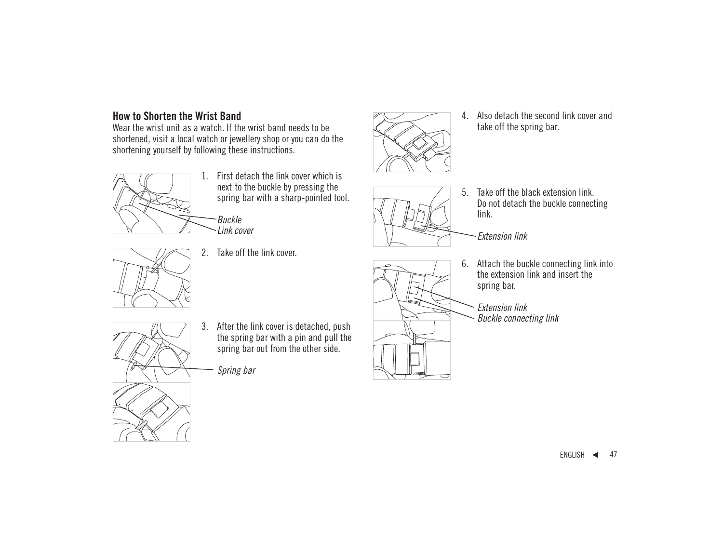### **How to Shorten the Wrist Band**

Wear the wrist unit as a watch. If the wrist band needs to be shortened, visit a local watch or jewellery shop or you can do the shortening yourself by following these instructions.



- 1. First detach the link cover which is next to the buckle by pressing the spring bar with a sharp-pointed tool.
- Buckle Link cover



2. Take off the link cover.



- - 5. Take off the black extension link. Do not detach the buckle connecting link.

take off the spring bar.

Extension link

- 
- 6. Attach the buckle connecting link into the extension link and insert the spring bar.

Extension link Buckle connecting link



3. After the link cover is detached, push the spring bar with a pin and pull the spring bar out from the other side.

Spring bar

 $ENGLISH$  47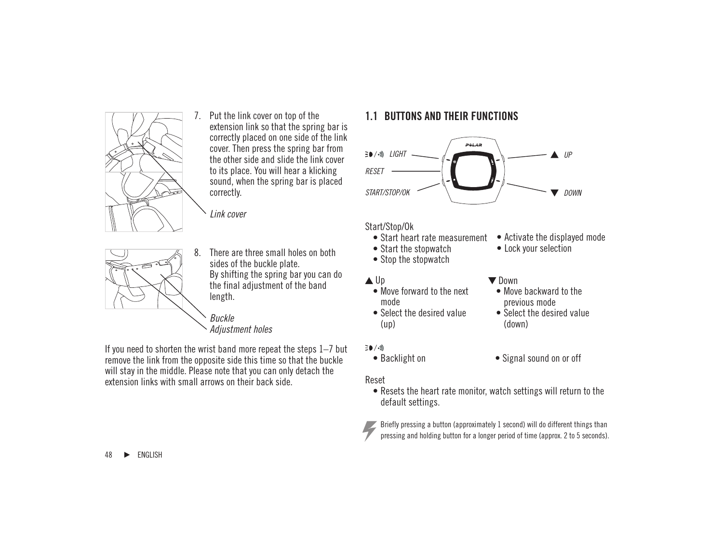

7. Put the link cover on top of the extension link so that the spring bar is correctly placed on one side of the link cover. Then press the spring bar from the other side and slide the link cover to its place. You will hear a klicking sound, when the spring bar is placed correctly.

Link cover



8. There are three small holes on both sides of the buckle plate. By shifting the spring bar you can do the final adjustment of the band length.

Buckle Adiustment holes

If you need to shorten the wrist band more repeat the steps 1–7 but remove the link from the opposite side this time so that the buckle will stay in the middle. Please note that you can only detach the extension links with small arrows on their back side.

### **1.1 BUTTONS AND THEIR FUNCTIONS**



#### Start/Stop/Ok

- Start heart rate measurement
- Start the stopwatch
- Stop the stopwatch
- $\triangle$ lln
	- Move forward to the next mode
	- Select the desired value (up)
- $\equiv$  0 / oli
	-

#### Reset



• Activate the displayed mode

- Move backward to the previous mode
- Select the desired value (down)
- Backlight on Signal sound on or off
- Resets the heart rate monitor, watch settings will return to the default settings.



Briefly pressing a button (approximately 1 second) will do different things than pressing and holding button for a longer period of time (approx. 2 to 5 seconds).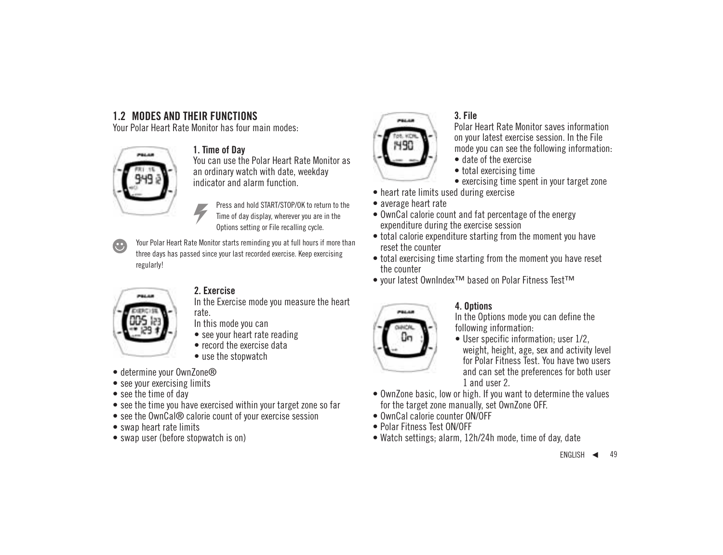# **1.2 MODES AND THEIR FUNCTIONS**

Your Polar Heart Rate Monitor has four main modes:



### **1. Time of Day**

You can use the Polar Heart Rate Monitor as an ordinary watch with date, weekday indicator and alarm function.

> Press and hold START/STOP/OK to return to the Time of day display, wherever you are in the Options setting or File recalling cycle.

Your Polar Heart Rate Monitor starts reminding you at full hours if more than œ, three days has passed since your last recorded exercise. Keep exercising regularly!



### **2. Exercise**

In the Exercise mode you measure the heart rate.

In this mode you can

- see your heart rate reading
- record the exercise data
- use the stopwatch
- determine your OwnZone®
- see your exercising limits
- see the time of day
- see the time you have exercised within your target zone so far
- see the OwnCal® calorie count of your exercise session
- swap heart rate limits
- swap user (before stopwatch is on)



### **3. File**

Polar Heart Rate Monitor saves information on your latest exercise session. In the File mode you can see the following information:

- date of the exercise
- total exercising time
- exercising time spent in your target zone
- heart rate limits used during exercise
- average heart rate
- OwnCal calorie count and fat percentage of the energy expenditure during the exercise session
- total calorie expenditure starting from the moment you have reset the counter
- total exercising time starting from the moment you have reset the counter
- your latest OwnIndex™ based on Polar Fitness Test™



### **4. Options**

In the Options mode you can define the following information:

- User specific information; user 1/2, weight, height, age, sex and activity level for Polar Fitness Test. You have two users and can set the preferences for both user 1 and user 2.
- OwnZone basic, low or high. If you want to determine the values for the target zone manually, set OwnZone OFF.
- OwnCal calorie counter ON/OFF
- Polar Fitness Test ON/OFF
- Watch settings; alarm, 12h/24h mode, time of day, date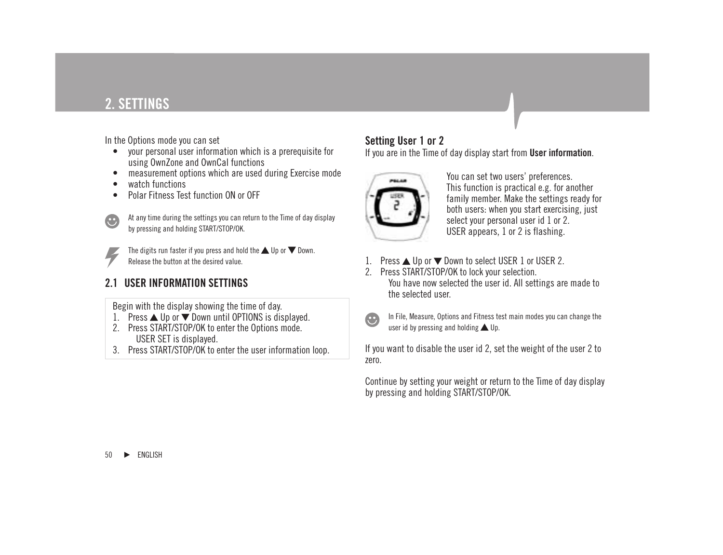# **2. SETTINGS**

In the Options mode you can set

- your personal user information which is a prerequisite for using OwnZone and OwnCal functions
- measurement options which are used during Exercise mode
- watch functions
- Polar Fitness Test function ON or OFF



At any time during the settings you can return to the Time of day display by pressing and holding START/STOP/OK.



The digits run faster if you press and hold the  $\triangle$  Up or  $\nabla$  Down. Release the button at the desired value.

# **2.1 USER INFORMATION SETTINGS**

Begin with the display showing the time of day.

- 1. Press  $\triangle$  Up or  $\nabla$  Down until OPTIONS is displayed.
- 2. Press START/STOP/OK to enter the Options mode. USER SET is displayed.
- 3. Press START/STOP/OK to enter the user information loop.

# **Setting User 1 or 2**

If you are in the Time of day display start from **User information**.



You can set two users' preferences. This function is practical e.g. for another family member. Make the settings ready for both users: when you start exercising, just select your personal user id 1 or 2. USER appears, 1 or 2 is flashing.

- Press  $\triangle$  Up or  $\nabla$  Down to select USER 1 or USER 2.
- 2. Press START/STOP/OK to lock your selection. You have now selected the user id. All settings are made to the selected user.



In File, Measure, Options and Fitness test main modes you can change the user id by pressing and holding  $\triangle$  Up.

If you want to disable the user id 2, set the weight of the user 2 to zero.

Continue by setting your weight or return to the Time of day display by pressing and holding START/STOP/OK.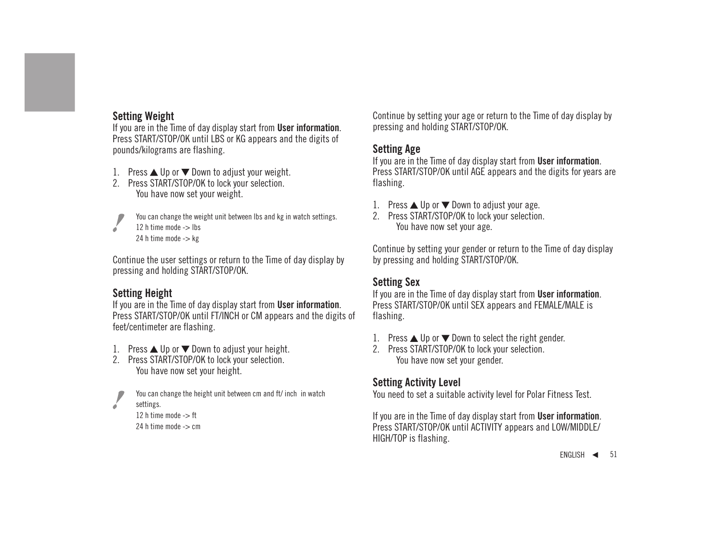## **Setting Weight**

If you are in the Time of day display start from **User information**. Press START/STOP/OK until LBS or KG appears and the digits of pounds/kilograms are flashing.

- 1. Press  $\triangle$  Up or  $\nabla$  Down to adjust your weight.
- 2. Press START/STOP/OK to lock your selection. You have now set your weight.



You can change the weight unit between lbs and kg in watch settings. 12 h time mode -> lbs

24 h time mode -> kg

Continue the user settings or return to the Time of day display by pressing and holding START/STOP/OK.

# **Setting Height**

If you are in the Time of day display start from **User information**. Press START/STOP/OK until FT/INCH or CM appears and the digits of feet/centimeter are flashing.

- 1. Press  $\triangle$  Up or  $\nabla$  Down to adjust your height.
- 2. Press START/STOP/OK to lock your selection. You have now set your height.



You can change the height unit between cm and ft/ inch in watch settings.

```
12 h time mode -> ft
24 h time mode -> cm
```
Continue by setting your age or return to the Time of day display by pressing and holding START/STOP/OK.

## **Setting Age**

If you are in the Time of day display start from **User information**. Press START/STOP/OK until AGE appears and the digits for years are flashing.

- 1. Press  $\triangle$  Up or  $\nabla$  Down to adjust your age.
- 2. Press START/STOP/OK to lock your selection. You have now set your age.

Continue by setting your gender or return to the Time of day display by pressing and holding START/STOP/OK.

# **Setting Sex**

If you are in the Time of day display start from **User information**. Press START/STOP/OK until SEX appears and FEMALE/MALE is flashing.

- 1. Press  $\triangle$  Up or  $\nabla$  Down to select the right gender.
- 2. Press START/STOP/OK to lock your selection. You have now set your gender.

# **Setting Activity Level**

You need to set a suitable activity level for Polar Fitness Test.

If you are in the Time of day display start from **User information**. Press START/STOP/OK until ACTIVITY appears and LOW/MIDDLE/ HIGH/TOP is flashing.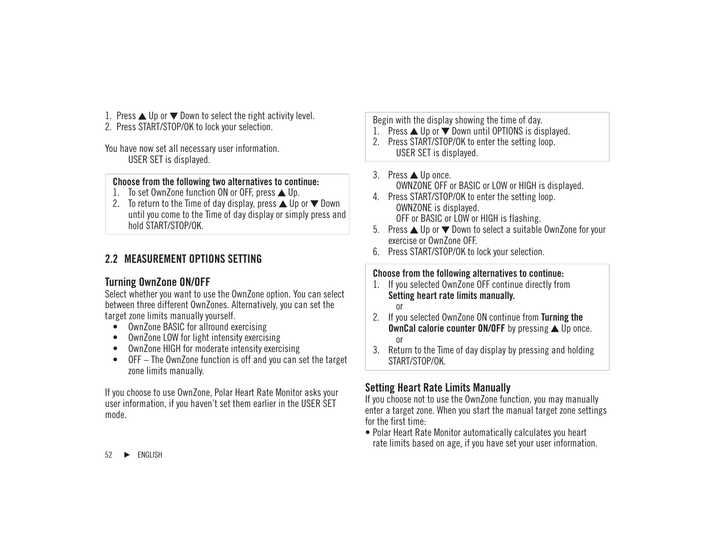- 1. Press  $\triangle$  Up or  $\nabla$  Down to select the right activity level.
- 2. Press START/STOP/OK to lock your selection.

You have now set all necessary user information. USER SET is displayed.

#### **Choose from the following two alternatives to continue:**

- 1. To set OwnZone function ON or OFF, press  $\triangle$  Up.
- 2. To return to the Time of day display, press  $\triangle$  Up or  $\nabla$  Down until you come to the Time of day display or simply press and hold START/STOP/OK.

# **2.2 MEASUREMENT OPTIONS SETTING**

# **Turning OwnZone ON/OFF**

Select whether you want to use the OwnZone option. You can select between three different OwnZones. Alternatively, you can set the target zone limits manually yourself.

- OwnZone BASIC for allround exercising
- OwnZone LOW for light intensity exercising
- OwnZone HIGH for moderate intensity exercising
- OFF The OwnZone function is off and you can set the target zone limits manually.

If you choose to use OwnZone, Polar Heart Rate Monitor asks your user information, if you haven't set them earlier in the USER SET mode.

Begin with the display showing the time of day.

- 1. Press  $\triangle$  Up or  $\nabla$  Down until OPTIONS is displayed.
- 2. Press START/STOP/OK to enter the setting loop. USER SET is displayed.
- $3.$  Press  $\triangle$  Up once. OWNZONE OFF or BASIC or LOW or HIGH is displayed.
- 4. Press START/STOP/OK to enter the setting loop. OWNZONE is displayed. OFF or BASIC or LOW or HIGH is flashing.
- 5. Press ▲ Up or ▼ Down to select a suitable OwnZone for your exercise or OwnZone OFF.
- 6. Press START/STOP/OK to lock your selection.

#### **Choose from the following alternatives to continue:**

- 1. If you selected OwnZone OFF continue directly from **Setting heart rate limits manually.** or
- 2. If you selected OwnZone ON continue from **Turning the OwnCal calorie counter ON/OFF** by pressing **A** Up once. or
- 3. Return to the Time of day display by pressing and holding START/STOP/OK.

# **Setting Heart Rate Limits Manually**

If you choose not to use the OwnZone function, you may manually enter a target zone. When you start the manual target zone settings for the first time:

• Polar Heart Rate Monitor automatically calculates you heart rate limits based on age, if you have set your user information.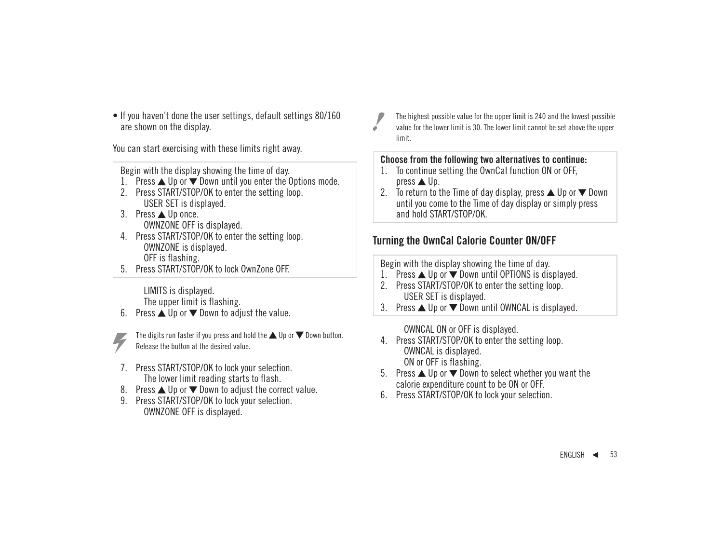• If you haven't done the user settings, default settings 80/160 are shown on the display.

You can start exercising with these limits right away.

Begin with the display showing the time of day.

- 1. Press  $\triangle$  Up or  $\nabla$  Down until you enter the Options mode.
- 2. Press START/STOP/OK to enter the setting loop. USER SET is displayed.
- 3. Press ▲ Up once. OWNZONE OFF is displayed.
- 4. Press START/STOP/OK to enter the setting loop. OWNZONE is displayed. OFF is flashing.
- 5. Press START/STOP/OK to lock OwnZone OFF.

LIMITS is displayed. The upper limit is flashing.

6. Press  $\triangle$  Up or  $\nabla$  Down to adjust the value.



The digits run faster if you press and hold the  $\blacktriangle$  Up or  $\nabla$  Down button. Release the button at the desired value.

- 7. Press START/STOP/OK to lock your selection. The lower limit reading starts to flash.
- 8. Press  $\triangle$  Up or  $\nabla$  Down to adjust the correct value.
- 9. Press START/STOP/OK to lock your selection. OWNZONE OFF is displayed.

The highest possible value for the upper limit is 240 and the lowest possible value for the lower limit is 30. The lower limit cannot be set above the upper limit.

#### **Choose from the following two alternatives to continue:**

- 1. To continue setting the OwnCal function ON or OFF, press  $\triangle$  Up.
- 2. To return to the Time of day display, press  $\triangle$  Up or  $\nabla$  Down until you come to the Time of day display or simply press and hold START/STOP/OK.

## **Turning the OwnCal Calorie Counter ON/OFF**

Begin with the display showing the time of day.

- 1. Press ▲ Up or ▼ Down until OPTIONS is displayed.
- 2. Press START/STOP/OK to enter the setting loop. USER SET is displayed.
- 3. Press  $\triangle$  Up or  $\nabla$  Down until OWNCAL is displayed.

OWNCAL ON or OFF is displayed.

- 4. Press START/STOP/OK to enter the setting loop. OWNCAL is displayed. ON or OFF is flashing.
- 5. Press ▲ Up or ▼ Down to select whether you want the calorie expenditure count to be ON or OFF.
- 6. Press START/STOP/OK to lock your selection.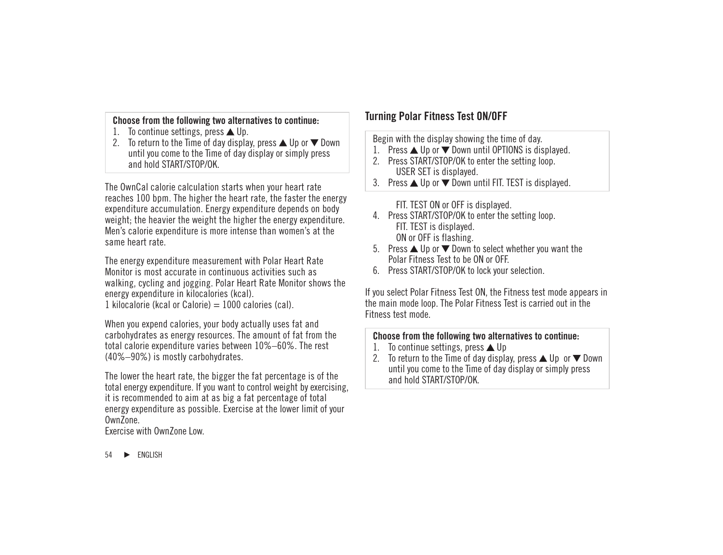#### **Choose from the following two alternatives to continue:**

- 1. To continue settings, press  $\triangle$  Up.
- 2. To return to the Time of day display, press  $\triangle$  Up or  $\nabla$  Down until you come to the Time of day display or simply press and hold START/STOP/OK.

The OwnCal calorie calculation starts when your heart rate reaches 100 bpm. The higher the heart rate, the faster the energy expenditure accumulation. Energy expenditure depends on body weight; the heavier the weight the higher the energy expenditure. Men's calorie expenditure is more intense than women's at the same heart rate.

The energy expenditure measurement with Polar Heart Rate Monitor is most accurate in continuous activities such as walking, cycling and jogging. Polar Heart Rate Monitor shows the energy expenditure in kilocalories (kcal).

1 kilocalorie (kcal or Calorie)  $= 1000$  calories (cal).

When you expend calories, your body actually uses fat and carbohydrates as energy resources. The amount of fat from the total calorie expenditure varies between 10%–60%. The rest (40%–90%) is mostly carbohydrates.

The lower the heart rate, the bigger the fat percentage is of the total energy expenditure. If you want to control weight by exercising, it is recommended to aim at as big a fat percentage of total energy expenditure as possible. Exercise at the lower limit of your OwnZone<sup>1</sup>

Exercise with OwnZone Low.

# **Turning Polar Fitness Test ON/OFF**

Begin with the display showing the time of day.

- 1. Press  $\triangle$  Up or  $\nabla$  Down until OPTIONS is displayed.
- 2. Press START/STOP/OK to enter the setting loop. USER SET is displayed.
- 3. Press  $\triangle$  Up or  $\nabla$  Down until FIT. TEST is displayed.

FIT. TEST ON or OFF is displayed.

- 4. Press START/STOP/OK to enter the setting loop. FIT. TEST is displayed. ON or OFF is flashing.
- 5. Press  $\triangle$  Up or  $\nabla$  Down to select whether you want the Polar Fitness Test to be ON or OFF.
- 6. Press START/STOP/OK to lock your selection.

If you select Polar Fitness Test ON, the Fitness test mode appears in the main mode loop. The Polar Fitness Test is carried out in the Fitness test mode.

#### **Choose from the following two alternatives to continue:**

- 1. To continue settings, press  $\triangle$  Up
- 2. To return to the Time of day display, press  $\triangle$  Up or  $\nabla$  Down until you come to the Time of day display or simply press and hold START/STOP/OK.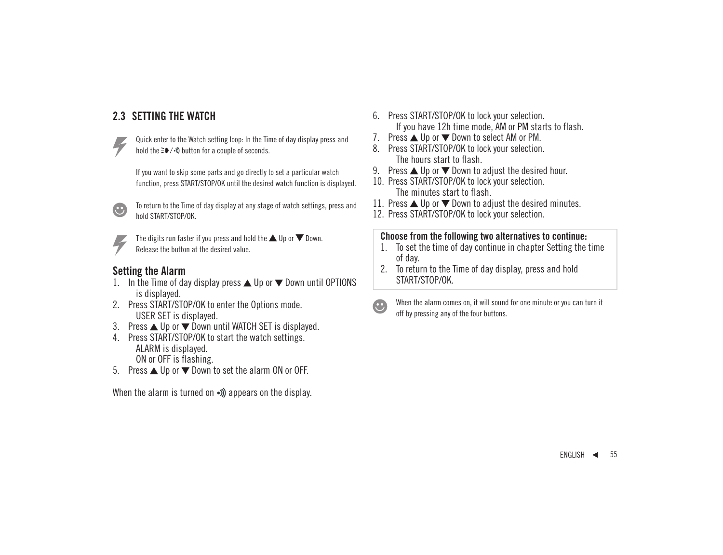# **2.3 SETTING THE WATCH**



Quick enter to the Watch setting loop: In the Time of day display press and hold the  $\geq 0$  / $\leq$ ) button for a couple of seconds.

If you want to skip some parts and go directly to set a particular watch function, press START/STOP/OK until the desired watch function is displayed.



To return to the Time of day display at any stage of watch settings, press and hold START/STOP/OK.



The digits run faster if you press and hold the  $\triangle$  Up or  $\nabla$  Down. Release the button at the desired value.

# **Setting the Alarm**

- In the Time of day display press  $\triangle$  Up or  $\nabla$  Down until OPTIONS is displayed.
- 2. Press START/STOP/OK to enter the Options mode. USER SET is displayed.
- 3. Press  $\triangle$  Up or  $\nabla$  Down until WATCH SET is displayed.
- 4. Press START/STOP/OK to start the watch settings. ALARM is displayed. ON or OFF is flashing.
- 5. Press ▲ Up or ▼ Down to set the alarm ON or OFF.

When the alarm is turned on  $\bullet$ ) appears on the display.

- 6. Press START/STOP/OK to lock your selection. If you have 12h time mode, AM or PM starts to flash.
- 7. Press  $\triangle$  Up or  $\nabla$  Down to select AM or PM.
- 8. Press START/STOP/OK to lock your selection. The hours start to flash.
- 9. Press  $\triangle$  Up or  $\nabla$  Down to adjust the desired hour.
- 10. Press START/STOP/OK to lock your selection. The minutes start to flash.
- 11. Press  $\triangle$  Up or  $\nabla$  Down to adjust the desired minutes.
- 12. Press START/STOP/OK to lock your selection.

#### **Choose from the following two alternatives to continue:**

- 1. To set the time of day continue in chapter Setting the time of day.
- 2. To return to the Time of day display, press and hold START/STOP/OK.



When the alarm comes on, it will sound for one minute or you can turn it off by pressing any of the four buttons.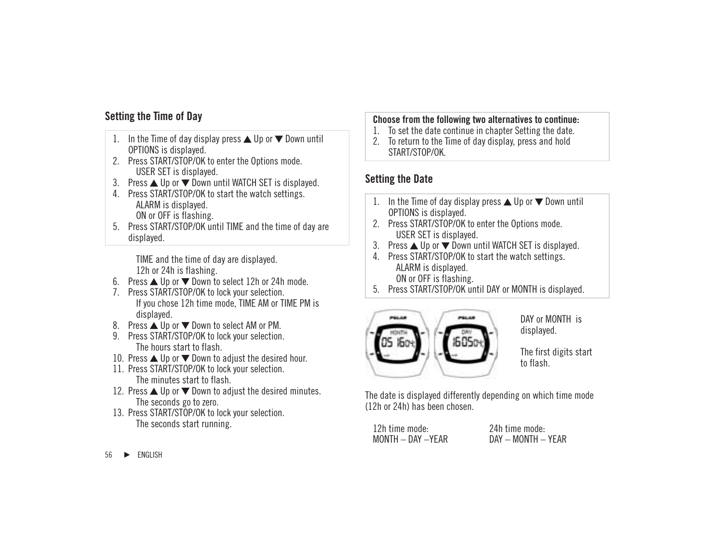# **Setting the Time of Day**

- 1. In the Time of day display press  $\triangle$  Up or  $\nabla$  Down until OPTIONS is displayed.
- 2. Press START/STOP/OK to enter the Options mode. USER SET is displayed.
- 3. Press  $\triangle$  Up or  $\nabla$  Down until WATCH SET is displayed.
- 4. Press START/STOP/OK to start the watch settings. ALARM is displayed. ON or OFF is flashing.
- 5. Press START/STOP/OK until TIME and the time of day are displayed.

TIME and the time of day are displayed. 12h or 24h is flashing.

- 6. Press  $\triangle$  Up or  $\nabla$  Down to select 12h or 24h mode.
- 7. Press START/STOP/OK to lock your selection. If you chose 12h time mode, TIME AM or TIME PM is displayed.
- 8. Press ▲ Up or ▼ Down to select AM or PM.
- 9. Press START/STOP/OK to lock your selection. The hours start to flash.
- 10. Press  $\triangle$  Up or  $\nabla$  Down to adjust the desired hour.
- 11. Press START/STOP/OK to lock your selection. The minutes start to flash.
- 12. Press  $\triangle$  Up or  $\nabla$  Down to adjust the desired minutes. The seconds go to zero.
- 13. Press START/STOP/OK to lock your selection. The seconds start running.

#### **Choose from the following two alternatives to continue:**

- 1. To set the date continue in chapter Setting the date.
- 2. To return to the Time of day display, press and hold START/STOP/OK.

# **Setting the Date**

- 1. In the Time of day display press  $\triangle$  Up or  $\nabla$  Down until OPTIONS is displayed.
- 2. Press START/STOP/OK to enter the Options mode. USER SET is displayed.
- 3. Press  $\triangle$  Up or  $\nabla$  Down until WATCH SET is displayed.
- 4. Press START/STOP/OK to start the watch settings. ALARM is displayed. ON or OFF is flashing.
- 5. Press START/STOP/OK until DAY or MONTH is displayed.



DAY or MONTH is displayed.

The first digits start to flash.

The date is displayed differently depending on which time mode (12h or 24h) has been chosen.

12h time mode: 24h time mode:

 $DAY - MONTH - YFAR$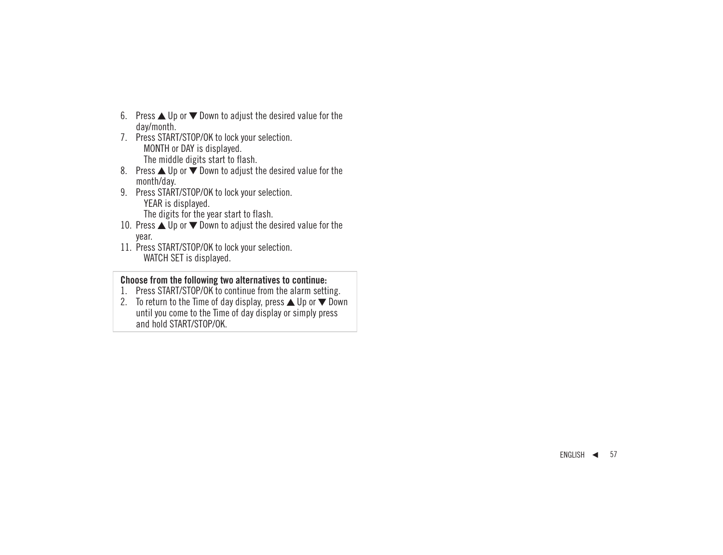- 6. Press  $\triangle$  Up or  $\nabla$  Down to adjust the desired value for the day/month.
- 7. Press START/STOP/OK to lock your selection. MONTH or DAY is displayed. The middle digits start to flash.
- 8. Press  $\triangle$  Up or  $\overline{\mathbf{v}}$  Down to adjust the desired value for the month/day.
- 9. Press START/STOP/OK to lock your selection. YEAR is displayed.

The digits for the year start to flash.

- 10. Press ▲ Up or ▼ Down to adjust the desired value for the year.
- 11. Press START/STOP/OK to lock your selection. WATCH SET is displayed.

#### **Choose from the following two alternatives to continue:**

- 1. Press START/STOP/OK to continue from the alarm setting.
- 2. To return to the Time of day display, press  $\triangle$  Up or  $\nabla$  Down until you come to the Time of day display or simply press and hold START/STOP/OK.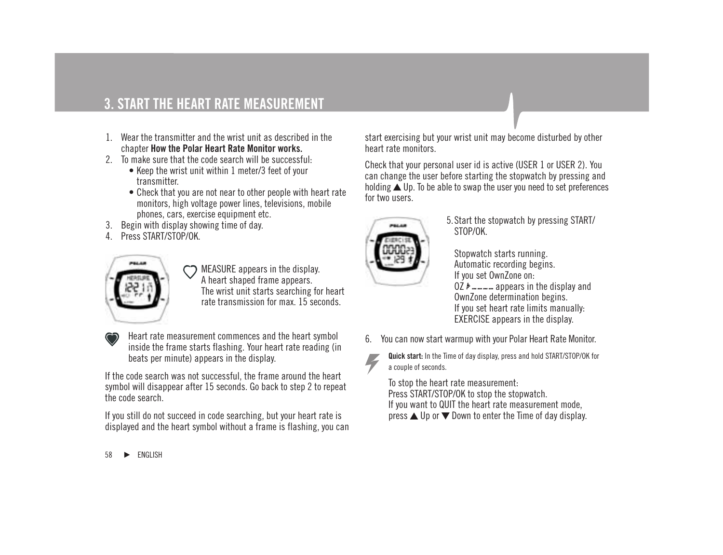- 1. Wear the transmitter and the wrist unit as described in the chapter **How the Polar Heart Rate Monitor works.**
- 2. To make sure that the code search will be successful:
	- Keep the wrist unit within 1 meter/3 feet of your transmitter.
	- Check that you are not near to other people with heart rate monitors, high voltage power lines, televisions, mobile phones, cars, exercise equipment etc.
- 3. Begin with display showing time of day.
- 4. Press START/STOP/OK.



MEASURE appears in the display. A heart shaped frame appears. The wrist unit starts searching for heart rate transmission for max. 15 seconds.



Heart rate measurement commences and the heart symbol inside the frame starts flashing. Your heart rate reading (in beats per minute) appears in the display.

If the code search was not successful, the frame around the heart symbol will disappear after 15 seconds. Go back to step 2 to repeat the code search.

If you still do not succeed in code searching, but your heart rate is displayed and the heart symbol without a frame is flashing, you can start exercising but your wrist unit may become disturbed by other heart rate monitors.

Check that your personal user id is active (USER 1 or USER 2). You can change the user before starting the stopwatch by pressing and holding  $\triangle$  Up. To be able to swap the user you need to set preferences for two users.



5.Start the stopwatch by pressing START/ STOP/OK.

Stopwatch starts running. Automatic recording begins. If you set OwnZone on:  $0Z \nightharpoonup -$  appears in the display and OwnZone determination begins. If you set heart rate limits manually: EXERCISE appears in the display.

6. You can now start warmup with your Polar Heart Rate Monitor.



**Quick start:** In the Time of day display, press and hold START/STOP/OK for a couple of seconds.

To stop the heart rate measurement: Press START/STOP/OK to stop the stopwatch. If you want to QUIT the heart rate measurement mode, press  $\triangle$  Up or  $\nabla$  Down to enter the Time of day display.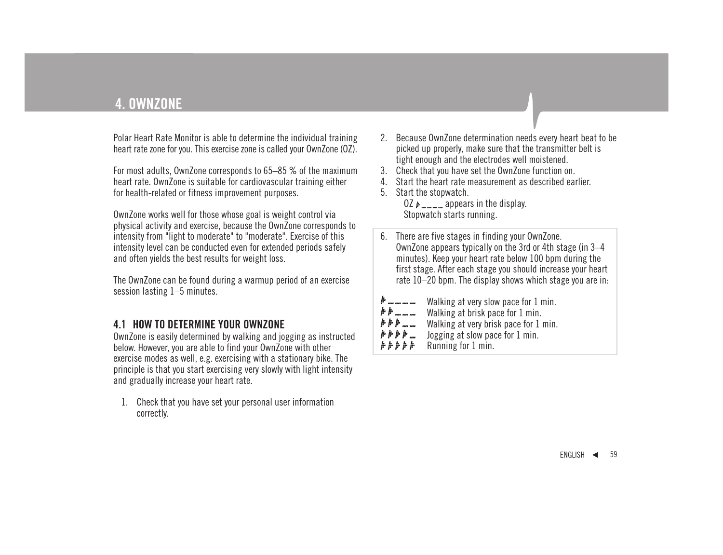Polar Heart Rate Monitor is able to determine the individual training heart rate zone for you. This exercise zone is called your OwnZone (OZ).

For most adults, OwnZone corresponds to 65–85 % of the maximum heart rate. OwnZone is suitable for cardiovascular training either for health-related or fitness improvement purposes.

OwnZone works well for those whose goal is weight control via physical activity and exercise, because the OwnZone corresponds to intensity from "light to moderate" to "moderate". Exercise of this intensity level can be conducted even for extended periods safely and often yields the best results for weight loss.

The OwnZone can be found during a warmup period of an exercise session lasting 1–5 minutes.

# **4.1 HOW TO DETERMINE YOUR OWNZONE**

OwnZone is easily determined by walking and jogging as instructed below. However, you are able to find your OwnZone with other exercise modes as well, e.g. exercising with a stationary bike. The principle is that you start exercising very slowly with light intensity and gradually increase your heart rate.

1. Check that you have set your personal user information correctly.

- 2. Because OwnZone determination needs every heart beat to be picked up properly, make sure that the transmitter belt is tight enough and the electrodes well moistened.
- 3. Check that you have set the OwnZone function on.
- 4. Start the heart rate measurement as described earlier.
- 5. Start the stopwatch.

OZ  $\mu$ <sub>m</sub> appears in the display. Stopwatch starts running.

- 6. There are five stages in finding your OwnZone. OwnZone appears typically on the 3rd or 4th stage (in 3–4 minutes). Keep your heart rate below 100 bpm during the first stage. After each stage you should increase your heart rate 10–20 bpm. The display shows which stage you are in: 1 . . . . . . . . Walking at very slow pace for 1 min.
- $* * ...$ Walking at brisk pace for 1 min. Walking at very brisk pace for 1 min. Jogging at slow pace for 1 min. Running for 1 min.*. . . . .*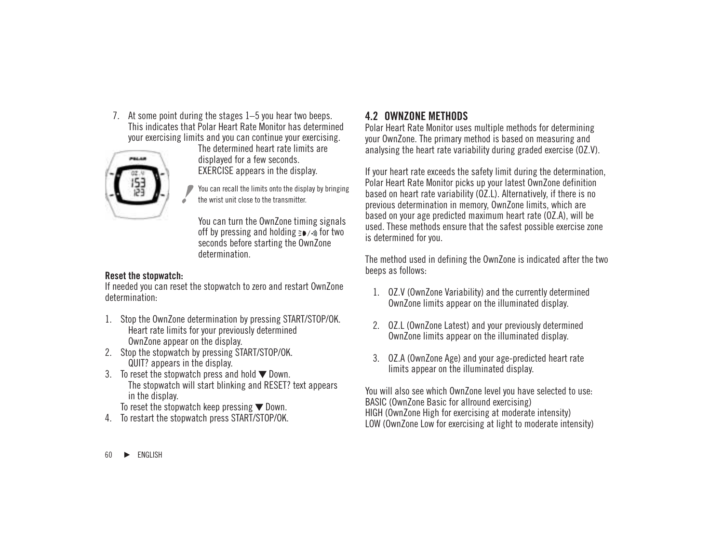7. At some point during the stages 1–5 you hear two beeps. This indicates that Polar Heart Rate Monitor has determined your exercising limits and you can continue your exercising.



The determined heart rate limits are displayed for a few seconds. EXERCISE appears in the display.

You can recall the limits onto the display by bringing the wrist unit close to the transmitter.

You can turn the OwnZone timing signals off by pressing and holding  $\geq 0$  / $\rightarrow$  for two seconds before starting the OwnZone determination.

#### **Reset the stopwatch:**

If needed you can reset the stopwatch to zero and restart OwnZone determination:

- 1. Stop the OwnZone determination by pressing START/STOP/OK. Heart rate limits for your previously determined OwnZone appear on the display.
- 2. Stop the stopwatch by pressing START/STOP/OK. QUIT? appears in the display.
- 3. To reset the stopwatch press and hold  $\nabla$  Down. The stopwatch will start blinking and RESET? text appears in the display.

To reset the stopwatch keep pressing  $\nabla$  Down.

4. To restart the stopwatch press START/STOP/OK.

# **4.2 OWNZONE METHODS**

Polar Heart Rate Monitor uses multiple methods for determining your OwnZone. The primary method is based on measuring and analysing the heart rate variability during graded exercise (OZ.V).

If your heart rate exceeds the safety limit during the determination, Polar Heart Rate Monitor picks up your latest OwnZone definition based on heart rate variability (OZ.L). Alternatively, if there is no previous determination in memory, OwnZone limits, which are based on your age predicted maximum heart rate (OZ.A), will be used. These methods ensure that the safest possible exercise zone is determined for you.

The method used in defining the OwnZone is indicated after the two beeps as follows:

- 1. OZ.V (OwnZone Variability) and the currently determined OwnZone limits appear on the illuminated display.
- 2. OZ.L (OwnZone Latest) and your previously determined OwnZone limits appear on the illuminated display.
- 3. OZ.A (OwnZone Age) and your age-predicted heart rate limits appear on the illuminated display.

You will also see which OwnZone level you have selected to use: BASIC (OwnZone Basic for allround exercising) HIGH (OwnZone High for exercising at moderate intensity) LOW (OwnZone Low for exercising at light to moderate intensity)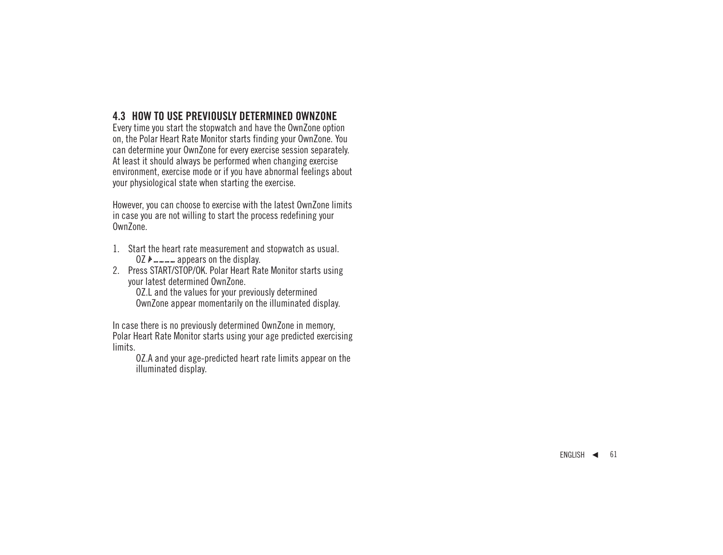# **4.3 HOW TO USE PREVIOUSLY DETERMINED OWNZONE**

Every time you start the stopwatch and have the OwnZone option on, the Polar Heart Rate Monitor starts finding your OwnZone. You can determine your OwnZone for every exercise session separately. At least it should always be performed when changing exercise environment, exercise mode or if you have abnormal feelings about your physiological state when starting the exercise.

However, you can choose to exercise with the latest OwnZone limits in case you are not willing to start the process redefining your OwnZone.

- 1. Start the heart rate measurement and stopwatch as usual.
	- OZ  $\mu$   $\mu$   $\mu$   $\mu$   $\mu$  appears on the display.
- 2. Press START/STOP/OK. Polar Heart Rate Monitor starts using your latest determined OwnZone.

OZ.L and the values for your previously determined OwnZone appear momentarily on the illuminated display.

In case there is no previously determined OwnZone in memory, Polar Heart Rate Monitor starts using your age predicted exercising limits.

OZ.A and your age-predicted heart rate limits appear on the illuminated display.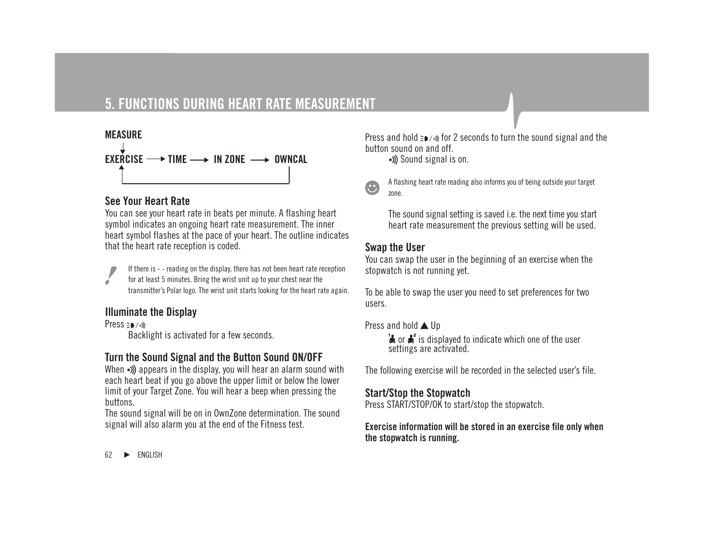# **5. FUNCTIONS DURING HEART RATE MEASUREMENT**



# **See Your Heart Rate**

You can see your heart rate in beats per minute. A flashing heart symbol indicates an ongoing heart rate measurement. The inner heart symbol flashes at the pace of your heart. The outline indicates that the heart rate reception is coded.

If there is - - reading on the display, there has not been heart rate reception for at least 5 minutes. Bring the wrist unit up to your chest near the transmitter's Polar logo. The wrist unit starts looking for the heart rate again.

#### **Illuminate the Display**

Press = a /-m

Backlight is activated for a few seconds.

# **Turn the Sound Signal and the Button Sound ON/OFF**

When  $\cdot$ ) appears in the display, you will hear an alarm sound with each heart beat if you go above the upper limit or below the lower limit of your Target Zone. You will hear a beep when pressing the buttons.

The sound signal will be on in OwnZone determination. The sound signal will also alarm you at the end of the Fitness test.

Press and hold  $\equiv \bullet$  / $\bullet$  for 2 seconds to turn the sound signal and the button sound on and off.

Sound signal is on.



A flashing heart rate reading also informs you of being outside your target zone.

The sound signal setting is saved i.e. the next time you start heart rate measurement the previous setting will be used.

#### **Swap the User**

You can swap the user in the beginning of an exercise when the stopwatch is not running yet.

To be able to swap the user you need to set preferences for two users.

Press and hold  $\triangle$  Up

 $\mathbf{B}$  or  $\mathbf{A}^s$  is displayed to indicate which one of the user settings are activated.

The following exercise will be recorded in the selected user's file.

### **Start/Stop the Stopwatch**

Press START/STOP/OK to start/stop the stopwatch.

**Exercise information will be stored in an exercise file only when the stopwatch is running.**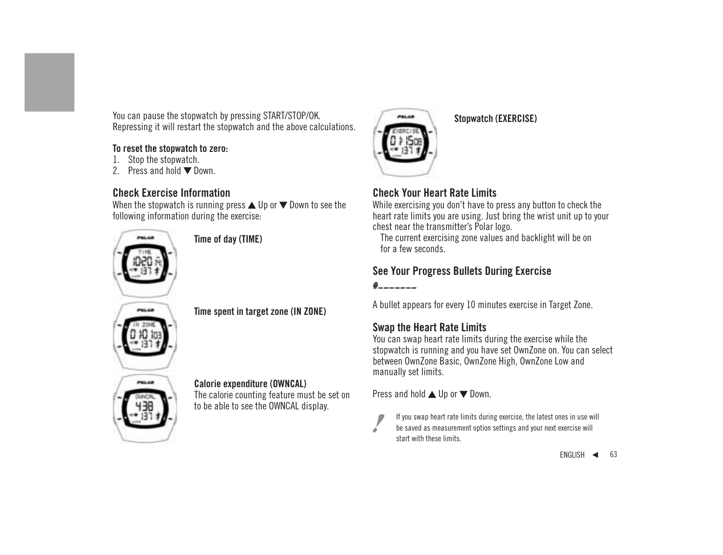You can pause the stopwatch by pressing START/STOP/OK. Repressing it will restart the stopwatch and the above calculations.

### **To reset the stopwatch to zero:**

- 1. Stop the stopwatch.
- 2. Press and hold  $\nabla$  Down.

# **Check Exercise Information**

When the stopwatch is running press  $\triangle$  Up or  $\nabla$  Down to see the following information during the exercise:



**Time of day (TIME)**

# **Time spent in target zone (IN ZONE)**

#### **Calorie expenditure (OWNCAL)** The calorie counting feature must be set on to be able to see the OWNCAL display.



**Stopwatch (EXERCISE)**

# **Check Your Heart Rate Limits**

While exercising you don't have to press any button to check the heart rate limits you are using. Just bring the wrist unit up to your chest near the transmitter's Polar logo.

The current exercising zone values and backlight will be on for a few seconds.

# **See Your Progress Bullets During Exercise**

A bullet appears for every 10 minutes exercise in Target Zone.

# **Swap the Heart Rate Limits**

You can swap heart rate limits during the exercise while the stopwatch is running and you have set OwnZone on. You can select between OwnZone Basic, OwnZone High, OwnZone Low and manually set limits.

Press and hold  $\triangle$  Up or  $\nabla$  Down.

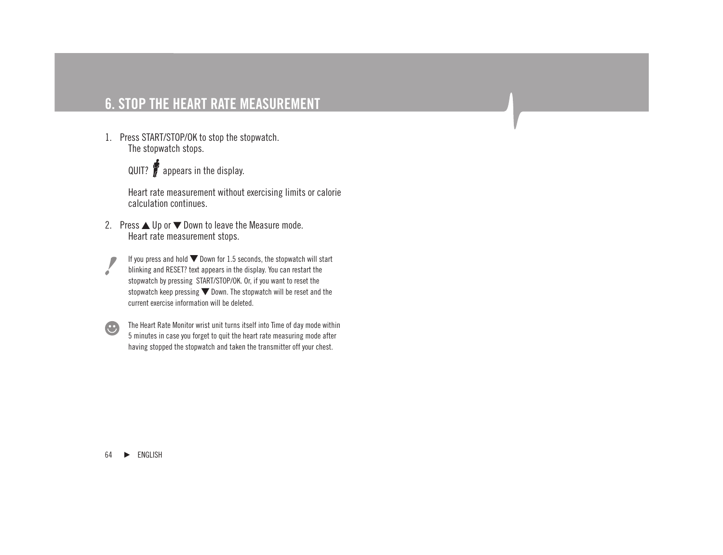# **6. STOP THE HEART RATE MEASUREMENT**

1. Press START/STOP/OK to stop the stopwatch. The stopwatch stops.



Heart rate measurement without exercising limits or calorie calculation continues.

- 2. Press  $\triangle$  Up or  $\nabla$  Down to leave the Measure mode. Heart rate measurement stops.
	- If you press and hold  $\nabla$  Down for 1.5 seconds, the stopwatch will start blinking and RESET? text appears in the display. You can restart the stopwatch by pressing START/STOP/OK. Or, if you want to reset the stopwatch keep pressing  $\nabla$  Down. The stopwatch will be reset and the current exercise information will be deleted.



The Heart Rate Monitor wrist unit turns itself into Time of day mode within 5 minutes in case you forget to quit the heart rate measuring mode after having stopped the stopwatch and taken the transmitter off your chest.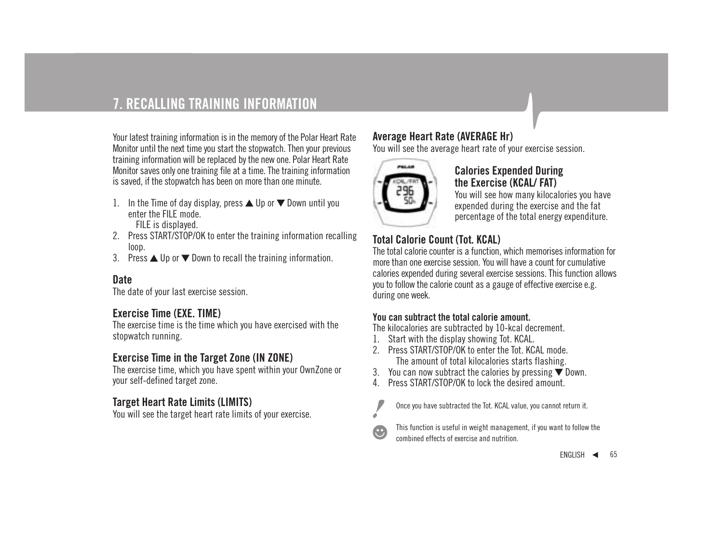# **7. RECALLING TRAINING INFORMATION**

Your latest training information is in the memory of the Polar Heart Rate Monitor until the next time you start the stopwatch. Then your previous training information will be replaced by the new one. Polar Heart Rate Monitor saves only one training file at a time. The training information is saved, if the stopwatch has been on more than one minute.

- 1. In the Time of day display, press  $\triangle$  Up or  $\nabla$  Down until you enter the FILE mode. FILE is displayed.
- 2. Press START/STOP/OK to enter the training information recalling loop.
- 3. Press  $\triangle$  Up or  $\nabla$  Down to recall the training information.

### **Date**

The date of your last exercise session.

# **Exercise Time (EXE. TIME)**

The exercise time is the time which you have exercised with the stopwatch running.

# **Exercise Time in the Target Zone (IN ZONE)**

The exercise time, which you have spent within your OwnZone or your self-defined target zone.

# **Target Heart Rate Limits (LIMITS)**

You will see the target heart rate limits of your exercise.

# **Average Heart Rate (AVERAGE Hr)**

You will see the average heart rate of your exercise session.



### **Calories Expended During the Exercise (KCAL/ FAT)**

You will see how many kilocalories you have expended during the exercise and the fat percentage of the total energy expenditure.

# **Total Calorie Count (Tot. KCAL)**

The total calorie counter is a function, which memorises information for more than one exercise session. You will have a count for cumulative calories expended during several exercise sessions. This function allows you to follow the calorie count as a gauge of effective exercise e.g. during one week.

#### **You can subtract the total calorie amount.**

The kilocalories are subtracted by 10-kcal decrement.

- 1. Start with the display showing Tot. KCAL.
- 2. Press START/STOP/OK to enter the Tot. KCAL mode. The amount of total kilocalories starts flashing.
- 3. You can now subtract the calories by pressing  $\nabla$  Down.
- 4. Press START/STOP/OK to lock the desired amount.



Once you have subtracted the Tot. KCAL value, you cannot return it.



This function is useful in weight management, if you want to follow the combined effects of exercise and nutrition.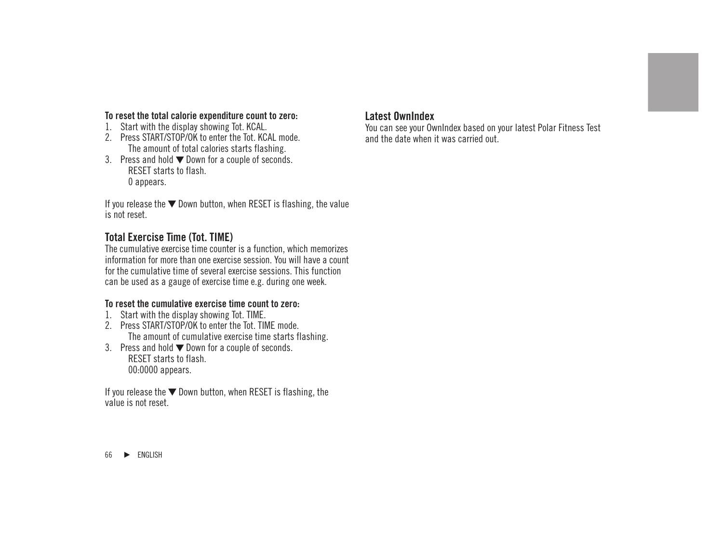#### **To reset the total calorie expenditure count to zero:**

- 1. Start with the display showing Tot. KCAL.
- 2. Press START/STOP/OK to enter the Tot. KCAL mode. The amount of total calories starts flashing.
- 3. Press and hold  $\nabla$  Down for a couple of seconds. RESET starts to flash. 0 appears.

If you release the  $\nabla$  Down button, when RESET is flashing, the value is not reset.

# **Total Exercise Time (Tot. TIME)**

The cumulative exercise time counter is a function, which memorizes information for more than one exercise session. You will have a count for the cumulative time of several exercise sessions. This function can be used as a gauge of exercise time e.g. during one week.

#### **To reset the cumulative exercise time count to zero:**

- 1. Start with the display showing Tot. TIME.
- 2. Press START/STOP/OK to enter the Tot. TIME mode. The amount of cumulative exercise time starts flashing.
- 3. Press and hold  $\nabla$  Down for a couple of seconds. RESET starts to flash. 00:0000 appears.

If you release the  $\nabla$  Down button, when RESET is flashing, the value is not reset.

### **Latest OwnIndex**

You can see your OwnIndex based on your latest Polar Fitness Test and the date when it was carried out.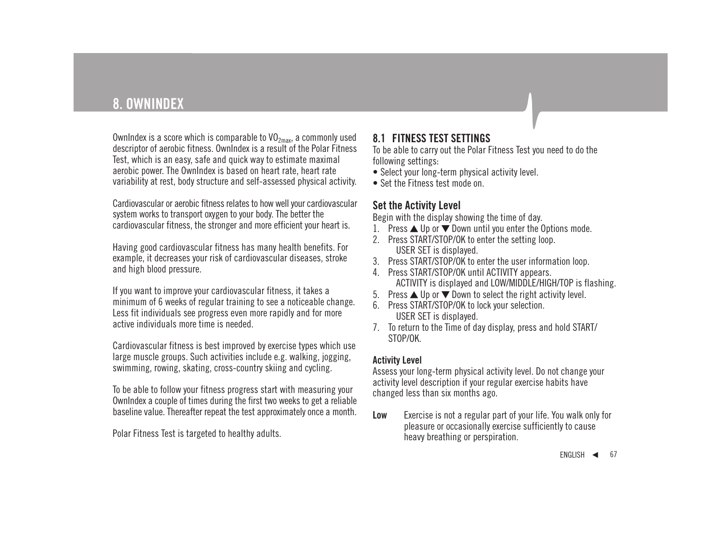# **8. OWNINDEX**

OwnIndex is a score which is comparable to  $VO_{2max}$ , a commonly used descriptor of aerobic fitness. OwnIndex is a result of the Polar Fitness Test, which is an easy, safe and quick way to estimate maximal aerobic power. The OwnIndex is based on heart rate, heart rate variability at rest, body structure and self-assessed physical activity.

Cardiovascular or aerobic fitness relates to how well your cardiovascular system works to transport oxygen to your body. The better the cardiovascular fitness, the stronger and more efficient your heart is.

Having good cardiovascular fitness has many health benefits. For example, it decreases your risk of cardiovascular diseases, stroke and high blood pressure.

If you want to improve your cardiovascular fitness, it takes a minimum of 6 weeks of regular training to see a noticeable change. Less fit individuals see progress even more rapidly and for more active individuals more time is needed.

Cardiovascular fitness is best improved by exercise types which use large muscle groups. Such activities include e.g. walking, jogging, swimming, rowing, skating, cross-country skiing and cycling.

To be able to follow your fitness progress start with measuring your OwnIndex a couple of times during the first two weeks to get a reliable baseline value. Thereafter repeat the test approximately once a month.

Polar Fitness Test is targeted to healthy adults.

# **8.1 FITNESS TEST SETTINGS**

To be able to carry out the Polar Fitness Test you need to do the following settings:

- Select your long-term physical activity level.
- Set the Fitness test mode on.

## **Set the Activity Level**

Begin with the display showing the time of day.

- 1. Press  $\triangle$  Up or  $\nabla$  Down until you enter the Options mode.
- 2. Press START/STOP/OK to enter the setting loop. USER SET is displayed.
- 3. Press START/STOP/OK to enter the user information loop.
- 4. Press START/STOP/OK until ACTIVITY appears. ACTIVITY is displayed and LOW/MIDDLE/HIGH/TOP is flashing.
- 5. Press  $\triangle$  Up or  $\nabla$  Down to select the right activity level.
- 6. Press START/STOP/OK to lock your selection. USER SET is displayed.
- 7. To return to the Time of day display, press and hold START/ STOP/OK.

#### **Activity Level**

Assess your long-term physical activity level. Do not change your activity level description if your regular exercise habits have changed less than six months ago.

**Low** Exercise is not a regular part of your life. You walk only for pleasure or occasionally exercise sufficiently to cause heavy breathing or perspiration.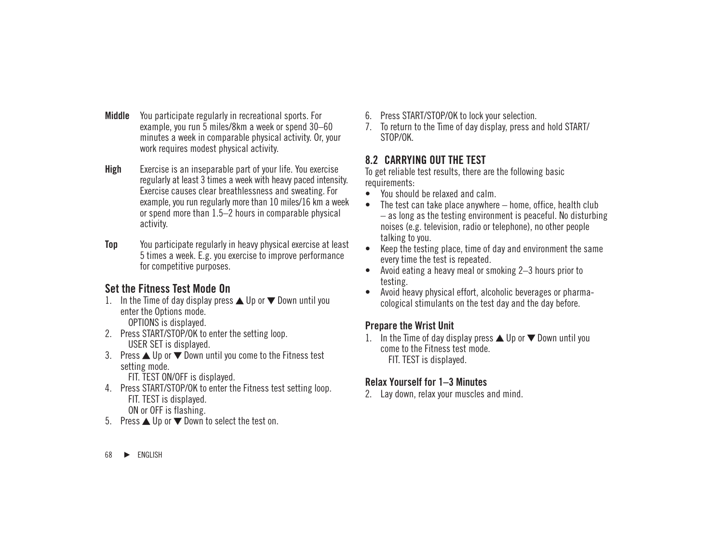- **Middle** You participate regularly in recreational sports. For example, you run 5 miles/8km a week or spend 30–60 minutes a week in comparable physical activity. Or, your work requires modest physical activity.
- **High** Exercise is an inseparable part of your life. You exercise regularly at least 3 times a week with heavy paced intensity. Exercise causes clear breathlessness and sweating. For example, you run regularly more than 10 miles/16 km a week or spend more than 1.5–2 hours in comparable physical activity.
- **Top** You participate regularly in heavy physical exercise at least 5 times a week. E.g. you exercise to improve performance for competitive purposes.

# **Set the Fitness Test Mode On**

- 1. In the Time of day display press  $\triangle$  Up or  $\nabla$  Down until you enter the Options mode. OPTIONS is displayed.
- 2. Press START/STOP/OK to enter the setting loop. USER SET is displayed.
- 3. Press ▲ Up or ▼ Down until you come to the Fitness test setting mode.

FIT. TEST ON/OFF is displayed.

- 4. Press START/STOP/OK to enter the Fitness test setting loop. FIT. TEST is displayed. ON or OFF is flashing.
- 5. Press  $\triangle$  Up or  $\nabla$  Down to select the test on.
- 6. Press START/STOP/OK to lock your selection.
- 7. To return to the Time of day display, press and hold START/ STOP/OK.

# **8.2 CARRYING OUT THE TEST**

To get reliable test results, there are the following basic requirements:

- You should be relaxed and calm.
- The test can take place anywhere  $-$  home, office, health club – as long as the testing environment is peaceful. No disturbing noises (e.g. television, radio or telephone), no other people talking to you.
- Keep the testing place, time of day and environment the same every time the test is repeated.
- Avoid eating a heavy meal or smoking 2–3 hours prior to testing.
- Avoid heavy physical effort, alcoholic beverages or pharmacological stimulants on the test day and the day before.

# **Prepare the Wrist Unit**

1. In the Time of day display press  $\triangle$  Up or  $\nabla$  Down until you come to the Fitness test mode. FIT. TEST is displayed.

### **Relax Yourself for 1–3 Minutes**

2. Lay down, relax your muscles and mind.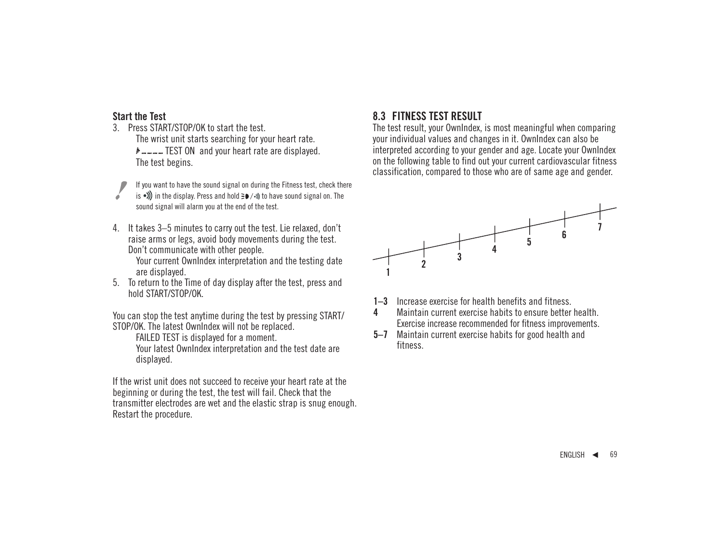### **Start the Test**

- 3. Press START/STOP/OK to start the test. The wrist unit starts searching for your heart rate.  $F = -$  TEST ON and your heart rate are displayed. The test begins.
	- If you want to have the sound signal on during the Fitness test, check there
- is •)) in the display. Press and hold  $\geq$  •... The have sound signal on. The sound signal will alarm you at the end of the test.
- 4. It takes 3–5 minutes to carry out the test. Lie relaxed, don't raise arms or legs, avoid body movements during the test. Don't communicate with other people.

Your current OwnIndex interpretation and the testing date are displayed.

5. To return to the Time of day display after the test, press and hold START/STOP/OK.

You can stop the test anytime during the test by pressing START/ STOP/OK. The latest OwnIndex will not be replaced.

FAILED TEST is displayed for a moment.

Your latest OwnIndex interpretation and the test date are displayed.

If the wrist unit does not succeed to receive your heart rate at the beginning or during the test, the test will fail. Check that the transmitter electrodes are wet and the elastic strap is snug enough. Restart the procedure.

# **8.3 FITNESS TEST RESULT**

The test result, your OwnIndex, is most meaningful when comparing your individual values and changes in it. OwnIndex can also be interpreted according to your gender and age. Locate your OwnIndex on the following table to find out your current cardiovascular fitness classification, compared to those who are of same age and gender.



- **1–3** Increase exercise for health benefits and fitness.
- **4** Maintain current exercise habits to ensure better health. Exercise increase recommended for fitness improvements.
- **5–7** Maintain current exercise habits for good health and fitness.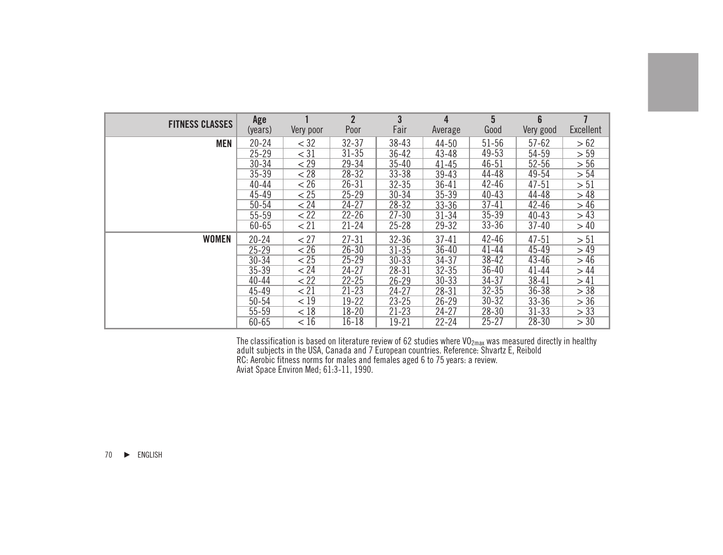|                        | Age       |                 | $\overline{2}$ | 3         | $\overline{4}$ | 5         | 6         | $\overline{1}$ |
|------------------------|-----------|-----------------|----------------|-----------|----------------|-----------|-----------|----------------|
| <b>FITNESS CLASSES</b> | (years)   | Very poor       | Poor           | Fair      | Average        | Good      | Very good | Excellent      |
| <b>MEN</b>             | $20 - 24$ | $<$ 32          | $32 - 37$      | $38 - 43$ | $44 - 50$      | $51 - 56$ | $57 - 62$ | > 62           |
|                        | $25 - 29$ | $<$ 31          | $31 - 35$      | $36 - 42$ | $43 - 48$      | 49-53     | 54-59     | > 59           |
|                        | $30 - 34$ | < 29            | $29 - 34$      | $35 - 40$ | $41 - 45$      | $46 - 51$ | $52 - 56$ | > 56           |
|                        | $35 - 39$ | < 28            | $28 - 32$      | $33 - 38$ | $39 - 43$      | 44-48     | 49-54     | > 54           |
|                        | $40 - 44$ | < 26            | $26 - 31$      | $32 - 35$ | $36 - 41$      | $42 - 46$ | $47 - 51$ | > 51           |
|                        | 45-49     | $\overline{25}$ | $25 - 29$      | $30 - 34$ | $35 - 39$      | $40 - 43$ | 44-48     | > 48           |
|                        | $50 - 54$ | < 24            | $24 - 27$      | $28 - 32$ | $33 - 36$      | $37 - 41$ | $42 - 46$ | > 46           |
|                        | 55-59     | < 22            | $22 - 26$      | $27 - 30$ | $31 - 34$      | $35 - 39$ | $40 - 43$ | > 43           |
|                        | 60-65     | < 21            | $21 - 24$      | $25 - 28$ | $29 - 32$      | $33 - 36$ | $37 - 40$ | >40            |
| <b>WOMEN</b>           | $20 - 24$ | < 27            | $27 - 31$      | $32 - 36$ | $37 - 41$      | $42 - 46$ | $47 - 51$ | > 51           |
|                        | $25 - 29$ | < 26            | $26 - 30$      | $31 - 35$ | $36 - 40$      | $41 - 44$ | $45 - 49$ | >49            |
|                        | $30 - 34$ | $\overline{25}$ | $25 - 29$      | $30 - 33$ | $34 - 37$      | 38-42     | 43-46     | > 46           |
|                        | $35 - 39$ | < 24            | $24 - 27$      | 28-31     | $32 - 35$      | $36 - 40$ | $41 - 44$ | >44            |
|                        | $40 - 44$ | 22              | $22 - 25$      | $26 - 29$ | $30 - 33$      | $34 - 37$ | $38 - 41$ | >41            |
|                        | 45-49     | < 21            | $21 - 23$      | $24 - 27$ | $28 - 31$      | $32 - 35$ | $36 - 38$ | > 38           |
|                        | $50 - 54$ | < 19            | $19 - 22$      | $23 - 25$ | $26 - 29$      | $30 - 32$ | $33 - 36$ | > 36           |
|                        | 55-59     | < 18            | $18 - 20$      | $21 - 23$ | $24 - 27$      | $28 - 30$ | $31 - 33$ | > 33           |
|                        | 60-65     | < 16            | $16 - 18$      | 19-21     | $22 - 24$      | $25 - 27$ | $28 - 30$ | > 30           |

The classification is based on literature review of 62 studies where VO<sub>2max</sub> was measured directly in healthy<br>adult subjects in the USA, Canada and 7 European countries. Reference: Shvartz E, Reibold RC: Aerobic fitness norms for males and females aged 6 to 75 years: a review. Aviat Space Environ Med; 61:3-11, 1990.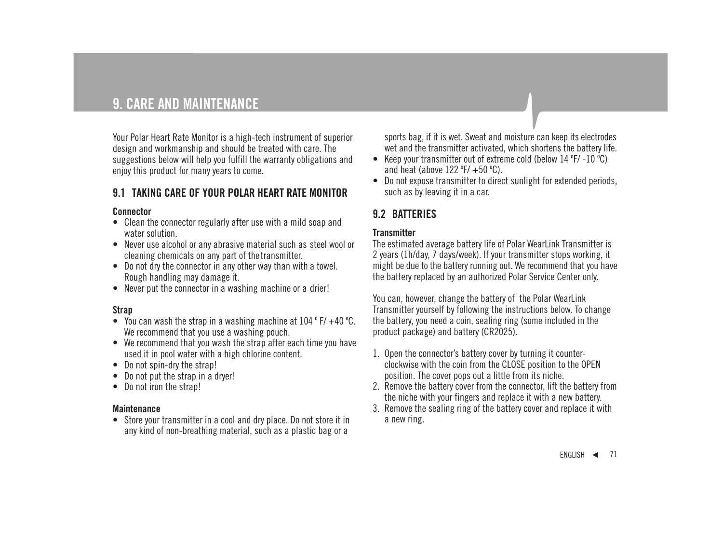# **9. CARE AND MAINTENANCE**

Your Polar Heart Rate Monitor is a high-tech instrument of superior design and workmanship and should be treated with care. The suggestions below will help you fulfill the warranty obligations and enjoy this product for many years to come.

# **9.1 TAKING CARE OF YOUR POLAR HEART RATE MONITOR**

#### **Connector**

- Clean the connector regularly after use with a mild soap and water solution.
- Never use alcohol or any abrasive material such as steel wool or cleaning chemicals on any part of thetransmitter.
- Do not dry the connector in any other way than with a towel. Rough handling may damage it.
- Never put the connector in a washing machine or a drier!

### **Strap**

- You can wash the strap in a washing machine at 104 º F/ +40 ºC. We recommend that you use a washing pouch.
- We recommend that you wash the strap after each time you have used it in pool water with a high chlorine content.
- Do not spin-dry the strap!
- Do not put the strap in a dryer!
- Do not iron the strap!

#### **Maintenance**

• Store your transmitter in a cool and dry place. Do not store it in any kind of non-breathing material, such as a plastic bag or a

sports bag, if it is wet. Sweat and moisture can keep its electrodes wet and the transmitter activated, which shortens the battery life.

- Keep your transmitter out of extreme cold (below 14 ºF/ -10 ºC) and heat (above 122 ºF/ +50 ºC).
- Do not expose transmitter to direct sunlight for extended periods, such as by leaving it in a car.

# **9.2 BATTERIES**

### **Transmitter**

The estimated average battery life of Polar WearLink Transmitter is 2 years (1h/day, 7 days/week). If your transmitter stops working, it might be due to the battery running out. We recommend that you have the battery replaced by an authorized Polar Service Center only.

You can, however, change the battery of the Polar WearLink Transmitter yourself by following the instructions below. To change the battery, you need a coin, sealing ring (some included in the product package) and battery (CR2025).

- 1. Open the connector's battery cover by turning it counterclockwise with the coin from the CLOSE position to the OPEN position. The cover pops out a little from its niche.
- 2. Remove the battery cover from the connector, lift the battery from the niche with your fingers and replace it with a new battery.
- 3. Remove the sealing ring of the battery cover and replace it with a new ring.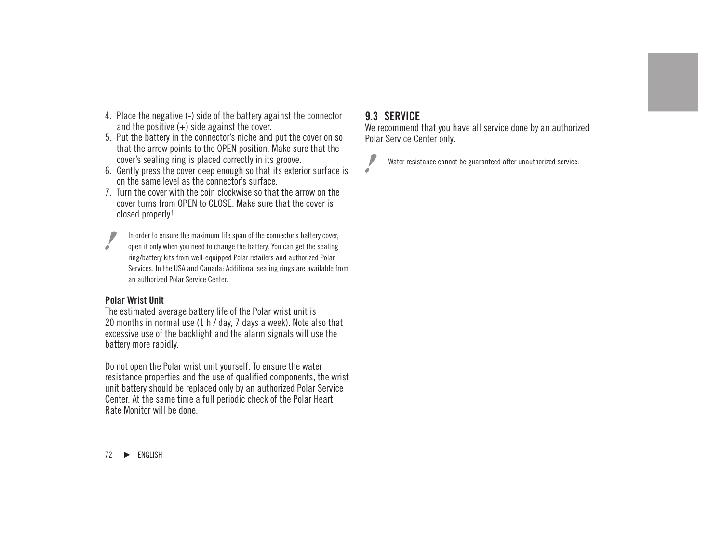- 4. Place the negative (-) side of the battery against the connector and the positive  $(+)$  side against the cover.
- 5. Put the battery in the connector's niche and put the cover on so that the arrow points to the OPEN position. Make sure that the cover's sealing ring is placed correctly in its groove.
- 6. Gently press the cover deep enough so that its exterior surface is on the same level as the connector's surface.
- 7. Turn the cover with the coin clockwise so that the arrow on the cover turns from OPEN to CLOSE. Make sure that the cover is closed properly!

In order to ensure the maximum life span of the connector's battery cover, open it only when you need to change the battery. You can get the sealing ring/battery kits from well-equipped Polar retailers and authorized Polar Services. In the USA and Canada: Additional sealing rings are available from an authorized Polar Service Center.

#### **Polar Wrist Unit**

The estimated average battery life of the Polar wrist unit is 20 months in normal use (1 h / day, 7 days a week). Note also that excessive use of the backlight and the alarm signals will use the battery more rapidly.

Do not open the Polar wrist unit yourself. To ensure the water resistance properties and the use of qualified components, the wrist unit battery should be replaced only by an authorized Polar Service Center. At the same time a full periodic check of the Polar Heart Rate Monitor will be done.

## **9.3 SERVICE**

We recommend that you have all service done by an authorized Polar Service Center only.



Water resistance cannot be guaranteed after unauthorized service.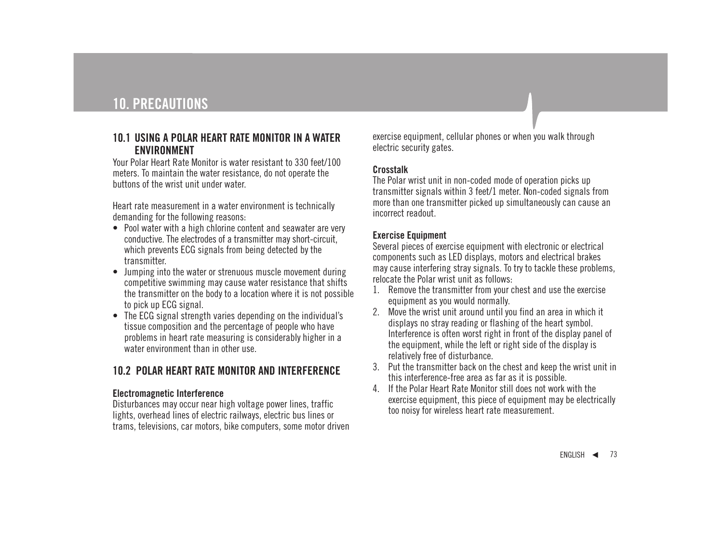#### **10.1 USING A POLAR HEART RATE MONITOR IN A WATER ENVIRONMENT**

Your Polar Heart Rate Monitor is water resistant to 330 feet/100 meters. To maintain the water resistance, do not operate the buttons of the wrist unit under water.

Heart rate measurement in a water environment is technically demanding for the following reasons:

- Pool water with a high chlorine content and seawater are very conductive. The electrodes of a transmitter may short-circuit, which prevents ECG signals from being detected by the transmitter.
- Jumping into the water or strenuous muscle movement during competitive swimming may cause water resistance that shifts the transmitter on the body to a location where it is not possible to pick up ECG signal.
- The ECG signal strength varies depending on the individual's tissue composition and the percentage of people who have problems in heart rate measuring is considerably higher in a water environment than in other use.

# **10.2 POLAR HEART RATE MONITOR AND INTERFERENCE**

#### **Electromagnetic Interference**

Disturbances may occur near high voltage power lines, traffic lights, overhead lines of electric railways, electric bus lines or trams, televisions, car motors, bike computers, some motor driven

exercise equipment, cellular phones or when you walk through electric security gates.

#### **Crosstalk**

The Polar wrist unit in non-coded mode of operation picks up transmitter signals within 3 feet/1 meter. Non-coded signals from more than one transmitter picked up simultaneously can cause an incorrect readout.

#### **Exercise Equipment**

Several pieces of exercise equipment with electronic or electrical components such as LED displays, motors and electrical brakes may cause interfering stray signals. To try to tackle these problems, relocate the Polar wrist unit as follows:

- 1. Remove the transmitter from your chest and use the exercise equipment as you would normally.
- 2. Move the wrist unit around until you find an area in which it displays no stray reading or flashing of the heart symbol. Interference is often worst right in front of the display panel of the equipment, while the left or right side of the display is relatively free of disturbance.
- 3. Put the transmitter back on the chest and keep the wrist unit in this interference-free area as far as it is possible.
- 4. If the Polar Heart Rate Monitor still does not work with the exercise equipment, this piece of equipment may be electrically too noisy for wireless heart rate measurement.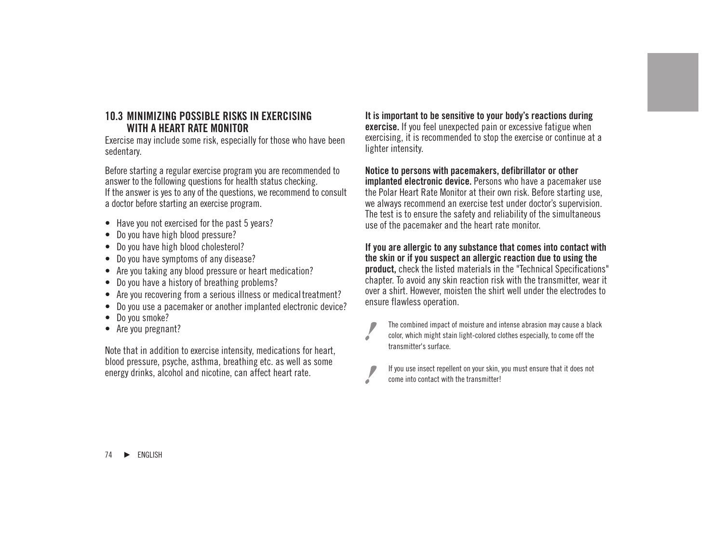#### **10.3 MINIMIZING POSSIBLE RISKS IN EXERCISING WITH A HEART RATE MONITOR**

Exercise may include some risk, especially for those who have been sedentary.

Before starting a regular exercise program you are recommended to answer to the following questions for health status checking. If the answer is yes to any of the questions, we recommend to consult a doctor before starting an exercise program.

- Have you not exercised for the past 5 years?
- Do you have high blood pressure?
- Do you have high blood cholesterol?
- Do you have symptoms of any disease?
- Are you taking any blood pressure or heart medication?
- Do you have a history of breathing problems?
- Are you recovering from a serious illness or medical treatment?
- Do you use a pacemaker or another implanted electronic device?
- Do you smoke?
- Are you pregnant?

Note that in addition to exercise intensity, medications for heart, blood pressure, psyche, asthma, breathing etc. as well as some energy drinks, alcohol and nicotine, can affect heart rate.

**It is important to be sensitive to your body's reactions during exercise.** If you feel unexpected pain or excessive fatigue when exercising, it is recommended to stop the exercise or continue at a lighter intensity.

#### **Notice to persons with pacemakers, defibrillator or other**

**implanted electronic device.** Persons who have a pacemaker use the Polar Heart Rate Monitor at their own risk. Before starting use, we always recommend an exercise test under doctor's supervision. The test is to ensure the safety and reliability of the simultaneous use of the pacemaker and the heart rate monitor.

#### **If you are allergic to any substance that comes into contact with the skin or if you suspect an allergic reaction due to using the product,** check the listed materials in the "Technical Specifications" chapter. To avoid any skin reaction risk with the transmitter, wear it over a shirt. However, moisten the shirt well under the electrodes to ensure flawless operation.



The combined impact of moisture and intense abrasion may cause a black color, which might stain light-colored clothes especially, to come off the transmitter's surface.

If you use insect repellent on your skin, you must ensure that it does not come into contact with the transmitter!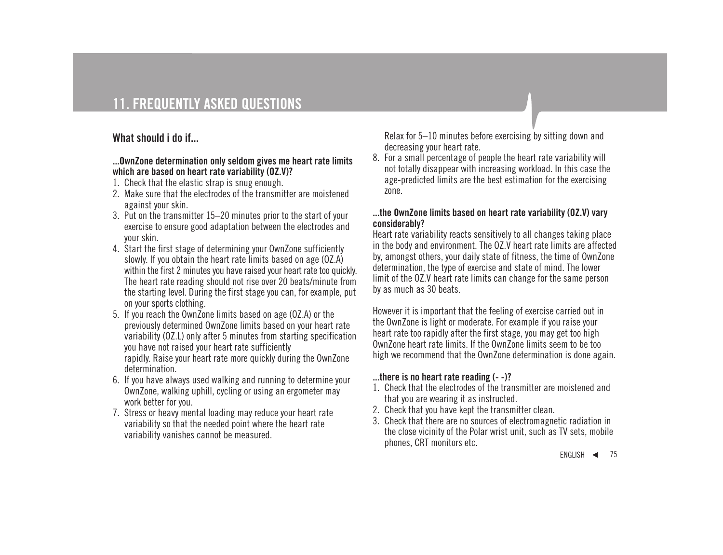# **What should i do if...**

#### **...OwnZone determination only seldom gives me heart rate limits which are based on heart rate variability (OZ.V)?**

- 1. Check that the elastic strap is snug enough.
- 2. Make sure that the electrodes of the transmitter are moistened against your skin.
- 3. Put on the transmitter 15–20 minutes prior to the start of your exercise to ensure good adaptation between the electrodes and your skin.
- 4. Start the first stage of determining your OwnZone sufficiently slowly. If you obtain the heart rate limits based on age (OZ.A) within the first 2 minutes you have raised your heart rate too quickly. The heart rate reading should not rise over 20 beats/minute from the starting level. During the first stage you can, for example, put on your sports clothing.
- 5. If you reach the OwnZone limits based on age (OZ.A) or the previously determined OwnZone limits based on your heart rate variability (OZ.L) only after 5 minutes from starting specification you have not raised your heart rate sufficiently rapidly. Raise your heart rate more quickly during the OwnZone determination.
- 6. If you have always used walking and running to determine your OwnZone, walking uphill, cycling or using an ergometer may work better for you.
- 7. Stress or heavy mental loading may reduce your heart rate variability so that the needed point where the heart rate variability vanishes cannot be measured.

Relax for 5–10 minutes before exercising by sitting down and decreasing your heart rate.

8. For a small percentage of people the heart rate variability will not totally disappear with increasing workload. In this case the age-predicted limits are the best estimation for the exercising zone.

#### **...the OwnZone limits based on heart rate variability (OZ.V) vary considerably?**

Heart rate variability reacts sensitively to all changes taking place in the body and environment. The OZ.V heart rate limits are affected by, amongst others, your daily state of fitness, the time of OwnZone determination, the type of exercise and state of mind. The lower limit of the OZ.V heart rate limits can change for the same person by as much as 30 beats.

However it is important that the feeling of exercise carried out in the OwnZone is light or moderate. For example if you raise your heart rate too rapidly after the first stage, you may get too high OwnZone heart rate limits. If the OwnZone limits seem to be too high we recommend that the OwnZone determination is done again.

#### **...there is no heart rate reading (- -)?**

- 1. Check that the electrodes of the transmitter are moistened and that you are wearing it as instructed.
- 2. Check that you have kept the transmitter clean.
- 3. Check that there are no sources of electromagnetic radiation in the close vicinity of the Polar wrist unit, such as TV sets, mobile phones, CRT monitors etc.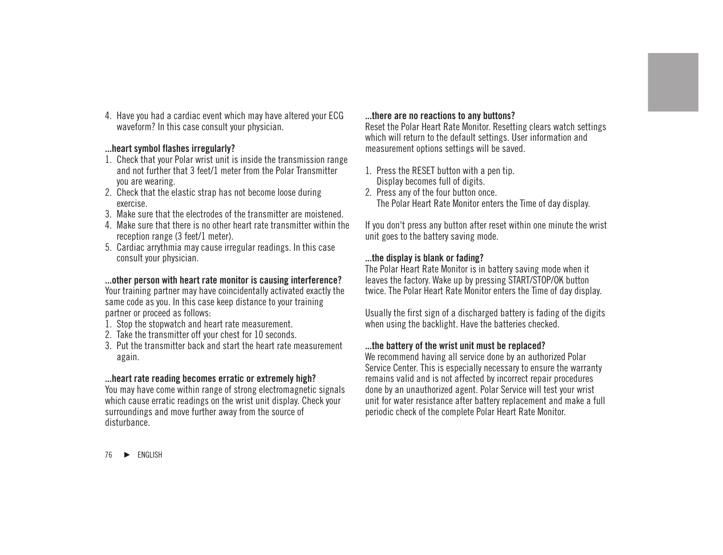4. Have you had a cardiac event which may have altered your ECG waveform? In this case consult your physician.

#### **...heart symbol flashes irregularly?**

- 1. Check that your Polar wrist unit is inside the transmission range and not further that 3 feet/1 meter from the Polar Transmitter you are wearing.
- 2. Check that the elastic strap has not become loose during exercise.
- 3. Make sure that the electrodes of the transmitter are moistened.
- 4. Make sure that there is no other heart rate transmitter within the reception range (3 feet/1 meter).
- 5. Cardiac arrythmia may cause irregular readings. In this case consult your physician.

### **...other person with heart rate monitor is causing interference?**

Your training partner may have coincidentally activated exactly the same code as you. In this case keep distance to your training partner or proceed as follows:

- 1. Stop the stopwatch and heart rate measurement.
- 2. Take the transmitter off your chest for 10 seconds.
- 3. Put the transmitter back and start the heart rate measurement again.

#### **...heart rate reading becomes erratic or extremely high?**

You may have come within range of strong electromagnetic signals which cause erratic readings on the wrist unit display. Check your surroundings and move further away from the source of disturbance.

#### **...there are no reactions to any buttons?**

Reset the Polar Heart Rate Monitor. Resetting clears watch settings which will return to the default settings. User information and measurement options settings will be saved.

- 1. Press the RESET button with a pen tip. Display becomes full of digits.
- 2. Press any of the four button once. The Polar Heart Rate Monitor enters the Time of day display.

If you don't press any button after reset within one minute the wrist unit goes to the battery saving mode.

#### **...the display is blank or fading?**

The Polar Heart Rate Monitor is in battery saving mode when it leaves the factory. Wake up by pressing START/STOP/OK button twice. The Polar Heart Rate Monitor enters the Time of day display.

Usually the first sign of a discharged battery is fading of the digits when using the backlight. Have the batteries checked.

#### **...the battery of the wrist unit must be replaced?**

We recommend having all service done by an authorized Polar Service Center. This is especially necessary to ensure the warranty remains valid and is not affected by incorrect repair procedures done by an unauthorized agent. Polar Service will test your wrist unit for water resistance after battery replacement and make a full periodic check of the complete Polar Heart Rate Monitor.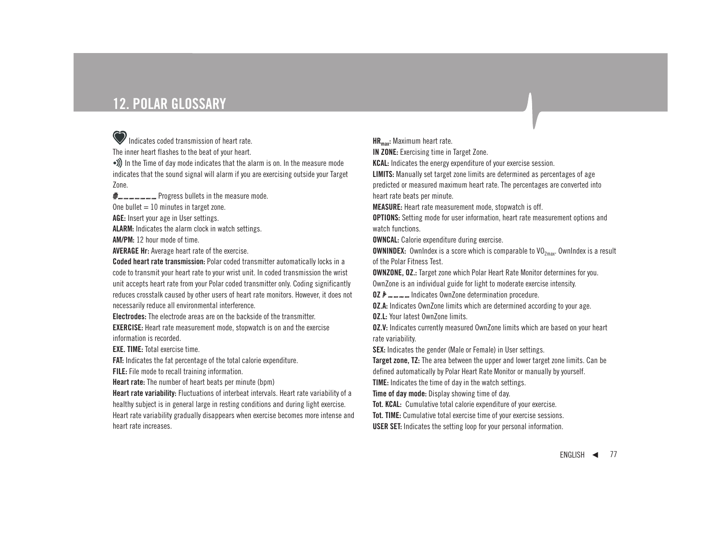# **12. POLAR GLOSSARY**

## Indicates coded transmission of heart rate.

The inner heart flashes to the beat of your heart.

•)) In the Time of day mode indicates that the alarm is on. In the measure mode indicates that the sound signal will alarm if you are exercising outside your Target Zone.

 $\psi$ <sub>m</sub> m m m m m Progress bullets in the measure mode. One bullet  $= 10$  minutes in target zone.

**AGE:** Insert your age in User settings.

**ALARM:** Indicates the alarm clock in watch settings.

**AM/PM:** 12 hour mode of time.

**AVERAGE Hr:** Average heart rate of the exercise.

**Coded heart rate transmission:** Polar coded transmitter automatically locks in a code to transmit your heart rate to your wrist unit. In coded transmission the wrist unit accepts heart rate from your Polar coded transmitter only. Coding significantly reduces crosstalk caused by other users of heart rate monitors. However, it does not necessarily reduce all environmental interference.

**Electrodes:** The electrode areas are on the backside of the transmitter.

**EXERCISE:** Heart rate measurement mode, stopwatch is on and the exercise information is recorded.

**EXE. TIME:** Total exercise time.

**FAT:** Indicates the fat percentage of the total calorie expenditure. **FILE:** File mode to recall training information.

**Heart rate:** The number of heart beats per minute (bpm)

**Heart rate variability:** Fluctuations of interbeat intervals. Heart rate variability of a healthy subject is in general large in resting conditions and during light exercise. Heart rate variability gradually disappears when exercise becomes more intense and heart rate increases.

**HRmax:** Maximum heart rate.

**IN ZONE:** Exercising time in Target Zone.

**KCAL:** Indicates the energy expenditure of your exercise session.

**LIMITS:** Manually set target zone limits are determined as percentages of age

predicted or measured maximum heart rate. The percentages are converted into heart rate beats per minute.

**MEASURE:** Heart rate measurement mode, stopwatch is off.

**OPTIONS:** Setting mode for user information, heart rate measurement options and watch functions.

**OWNCAL:** Calorie expenditure during exercise.

**OWNINDEX:** OwnIndex is a score which is comparable to VO<sub>2max</sub>. OwnIndex is a result of the Polar Fitness Test.

**OWNZONE, OZ.:** Target zone which Polar Heart Rate Monitor determines for you. OwnZone is an individual guide for light to moderate exercise intensity.

**OZ** Indicates OwnZone determination procedure.

**OZ.A:** Indicates OwnZone limits which are determined according to your age. **OZ.L:** Your latest OwnZone limits.

**OZ.V:** Indicates currently measured OwnZone limits which are based on your heart rate variability.

**SEX:** Indicates the gender (Male or Female) in User settings.

**Target zone, TZ:** The area between the upper and lower target zone limits. Can be defined automatically by Polar Heart Rate Monitor or manually by yourself.

**TIME:** Indicates the time of day in the watch settings.

**Time of day mode:** Display showing time of day.

**Tot. KCAL:** Cumulative total calorie expenditure of your exercise.

**Tot. TIME:** Cumulative total exercise time of your exercise sessions.

**USER SET:** Indicates the setting loop for your personal information.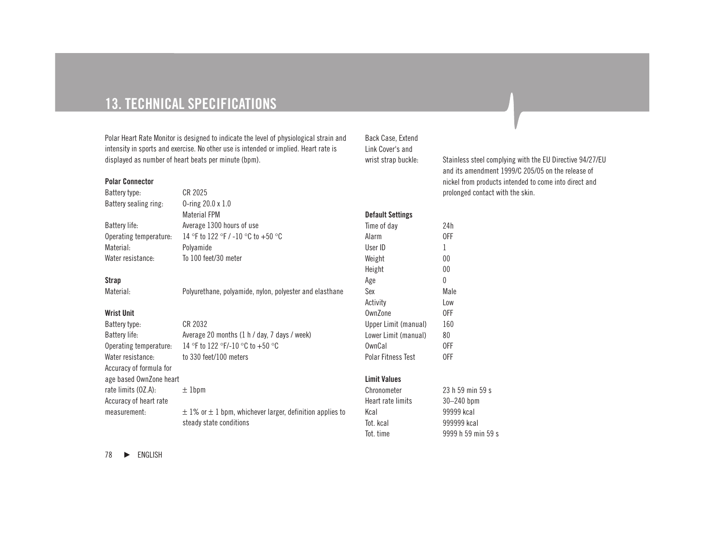# **13. TECHNICAL SPECIFICATIONS**

Polar Heart Rate Monitor is designed to indicate the level of physiological strain and intensity in sports and exercise. No other use is intended or implied. Heart rate is displayed as number of heart beats per minute (bpm).

#### **Polar Connector**

| Battery type:          | CR 2025                            |
|------------------------|------------------------------------|
| Battery sealing ring:  | 0-ring $20.0 \times 1.0$           |
|                        | <b>Material FPM</b>                |
| Battery life:          | Average 1300 hours of use          |
| Operating temperature: | 14 °F to 122 °F / -10 °C to +50 °C |
| Material:              | Polvamide                          |
| Water resistance:      | To 100 feet/30 meter               |
|                        |                                    |

#### **Strap**

#### **Wrist Unit**

| Battery type:           | CR 2032                                                          |
|-------------------------|------------------------------------------------------------------|
| Battery life:           | Average 20 months (1 h / day, 7 days / week)                     |
| Operating temperature:  | 14 °F to 122 °F/-10 °C to +50 °C                                 |
| Water resistance:       | to 330 feet/100 meters                                           |
| Accuracy of formula for |                                                                  |
| age based OwnZone heart |                                                                  |
| rate limits (OZ.A):     | $±1$ bpm                                                         |
| Accuracy of heart rate  |                                                                  |
| measurement:            | $\pm$ 1% or $\pm$ 1 bpm, whichever larger, definition applies to |
|                         |                                                                  |

steady state conditions

Back Case, Extend Link Cover's and

**Default Settings**

wrist strap buckle: Stainless steel complying with the EU Directive 94/27/EU and its amendment 1999/C 205/05 on the release of nickel from products intended to come into direct and prolonged contact with the skin.

| Time of day               | 24h  |
|---------------------------|------|
| Alarm                     | 0FF  |
| User ID                   | 1    |
| Weight                    | 00   |
| Height                    | 00   |
| Age                       | O    |
| Sex                       | Male |
| Activity                  | Low  |
| OwnZone                   | 0FF  |
| Upper Limit (manual)      | 160  |
| Lower Limit (manual)      | 80   |
| OwnCal                    | 0FF  |
| <b>Polar Fitness Test</b> | 0FF  |
|                           |      |

#### **Limit Values**

| Chronometer       | 23 h 59 min 59 s   |
|-------------------|--------------------|
| Heart rate limits | $30 - 240$ bpm     |
| Kcal              | 99999 kcal         |
| Tot, kcal         | 999999 kcal        |
| Tot. time         | 9999 h 59 min 59 s |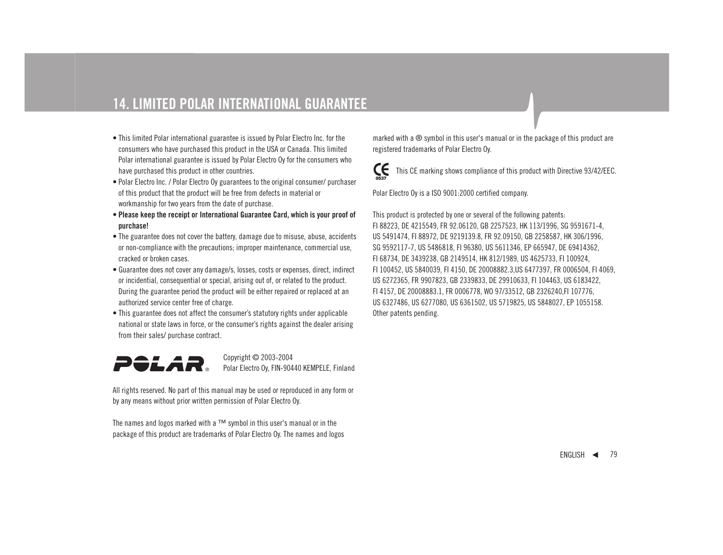# **14. LIMITED POLAR INTERNATIONAL GUARANTEE**

- This limited Polar international guarantee is issued by Polar Electro Inc. for the consumers who have purchased this product in the USA or Canada. This limited Polar international guarantee is issued by Polar Electro Oy for the consumers who have purchased this product in other countries.
- Polar Electro Inc. / Polar Electro Oy guarantees to the original consumer/ purchaser of this product that the product will be free from defects in material or workmanship for two years from the date of purchase.
- **Please keep the receipt or International Guarantee Card, which is your proof of purchase!**
- The guarantee does not cover the battery, damage due to misuse, abuse, accidents or non-compliance with the precautions; improper maintenance, commercial use, cracked or broken cases.
- Guarantee does not cover any damage/s, losses, costs or expenses, direct, indirect or incidential, consequential or special, arising out of, or related to the product. During the guarantee period the product will be either repaired or replaced at an authorized service center free of charge.
- This guarantee does not affect the consumer's statutory rights under applicable national or state laws in force, or the consumer's rights against the dealer arising from their sales/ purchase contract.



Copyright © 2003-2004 Polar Electro Oy, FIN-90440 KEMPELE, Finland

All rights reserved. No part of this manual may be used or reproduced in any form or by any means without prior written permission of Polar Electro Oy.

The names and logos marked with a ™ symbol in this user's manual or in the package of this product are trademarks of Polar Electro Oy. The names and logos

marked with a ® symbol in this user's manual or in the package of this product are registered trademarks of Polar Electro Oy.



This CE marking shows compliance of this product with Directive 93/42/EEC.

Polar Electro Oy is a ISO 9001:2000 certified company.

This product is protected by one or several of the following patents: FI 88223, DE 4215549, FR 92.06120, GB 2257523, HK 113/1996, SG 9591671-4, US 5491474, FI 88972, DE 9219139.8, FR 92.09150, GB 2258587, HK 306/1996, SG 9592117-7, US 5486818, FI 96380, US 5611346, EP 665947, DE 69414362, FI 68734, DE 3439238, GB 2149514, HK 812/1989, US 4625733, FI 100924, FI 100452, US 5840039, FI 4150, DE 20008882.3,US 6477397, FR 0006504, FI 4069, US 6272365, FR 9907823, GB 2339833, DE 29910633, FI 104463, US 6183422, FI 4157, DE 20008883.1, FR 0006778, WO 97/33512, GB 2326240,FI 107776, US 6327486, US 6277080, US 6361502, US 5719825, US 5848027, EP 1055158. Other patents pending.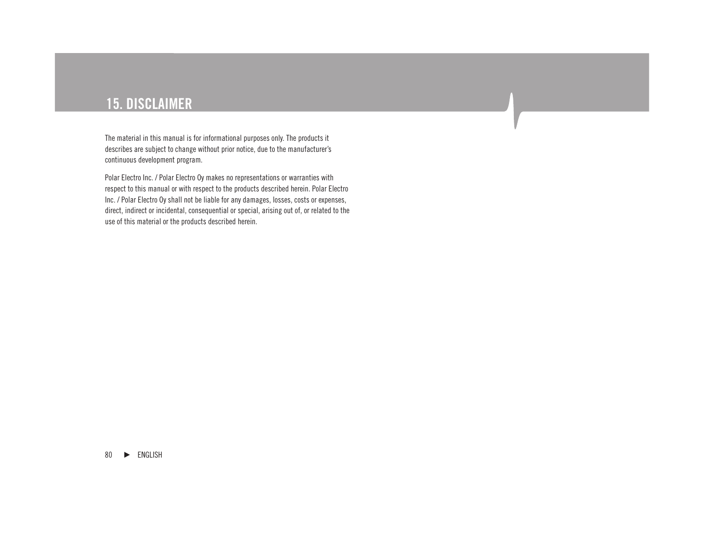# **15. DISCLAIMER**

The material in this manual is for informational purposes only. The products it describes are subject to change without prior notice, due to the manufacturer's continuous development program.

Polar Electro Inc. / Polar Electro Oy makes no representations or warranties with respect to this manual or with respect to the products described herein. Polar Electro Inc. / Polar Electro Oy shall not be liable for any damages, losses, costs or expenses, direct, indirect or incidental, consequential or special, arising out of, or related to the use of this material or the products described herein.